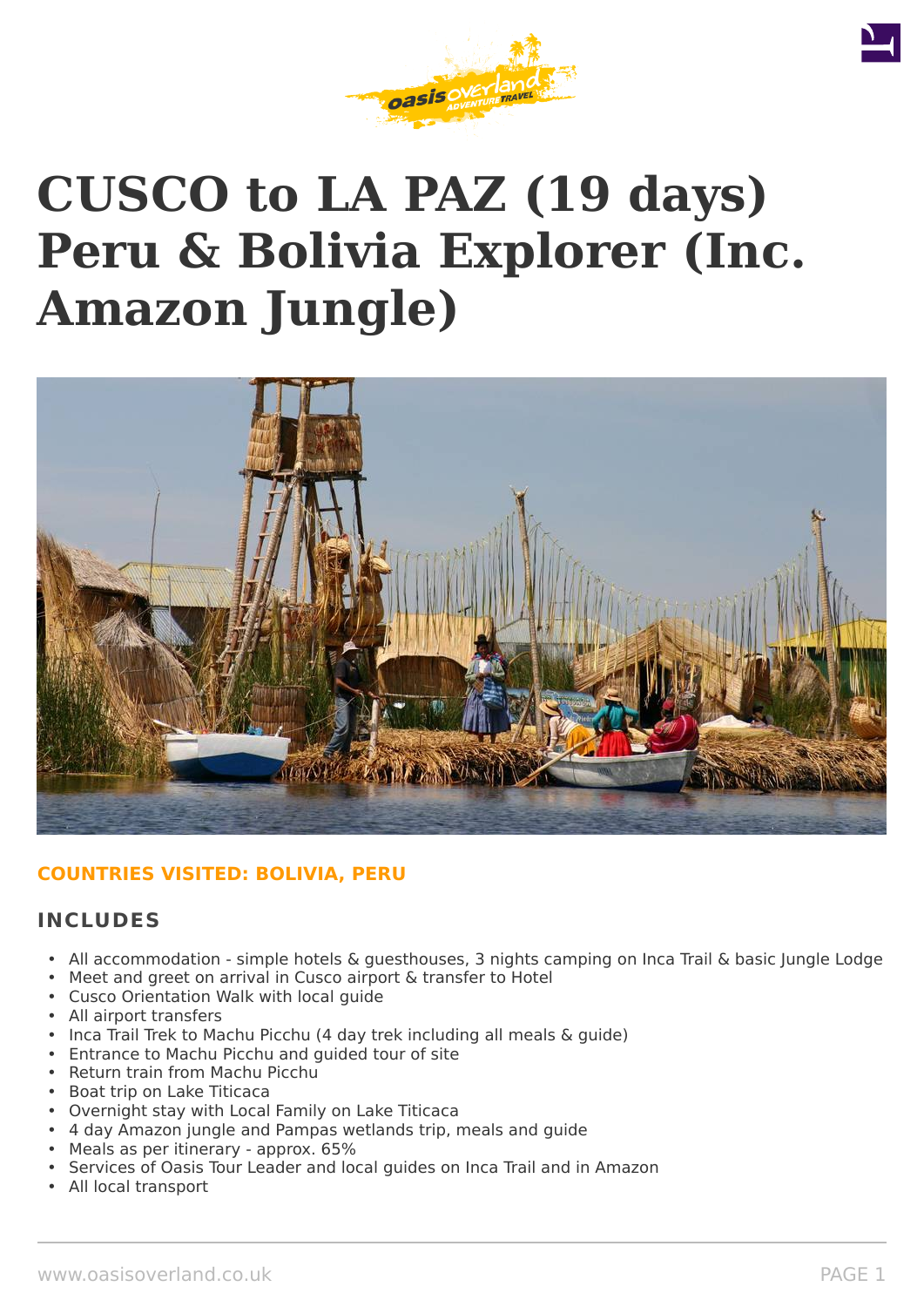



# **CUSCO to LA PAZ (19 days) Peru & Bolivia Explorer (Inc. Amazon Jungle)**



# **COUNTRIES VISITED: BOLIVIA, PERU**

# **INCLUDES**

- All accommodation simple hotels & guesthouses, 3 nights camping on Inca Trail & basic Jungle Lodge
- Meet and greet on arrival in Cusco airport & transfer to Hotel
- Cusco Orientation Walk with local guide
- All airport transfers
- Inca Trail Trek to Machu Picchu (4 day trek including all meals & guide)
- Entrance to Machu Picchu and guided tour of site
- Return train from Machu Picchu
- Boat trip on Lake Titicaca
- Overnight stay with Local Family on Lake Titicaca
- 4 day Amazon jungle and Pampas wetlands trip, meals and guide
- Meals as per itinerary approx. 65%
- Services of Oasis Tour Leader and local guides on Inca Trail and in Amazon
- All local transport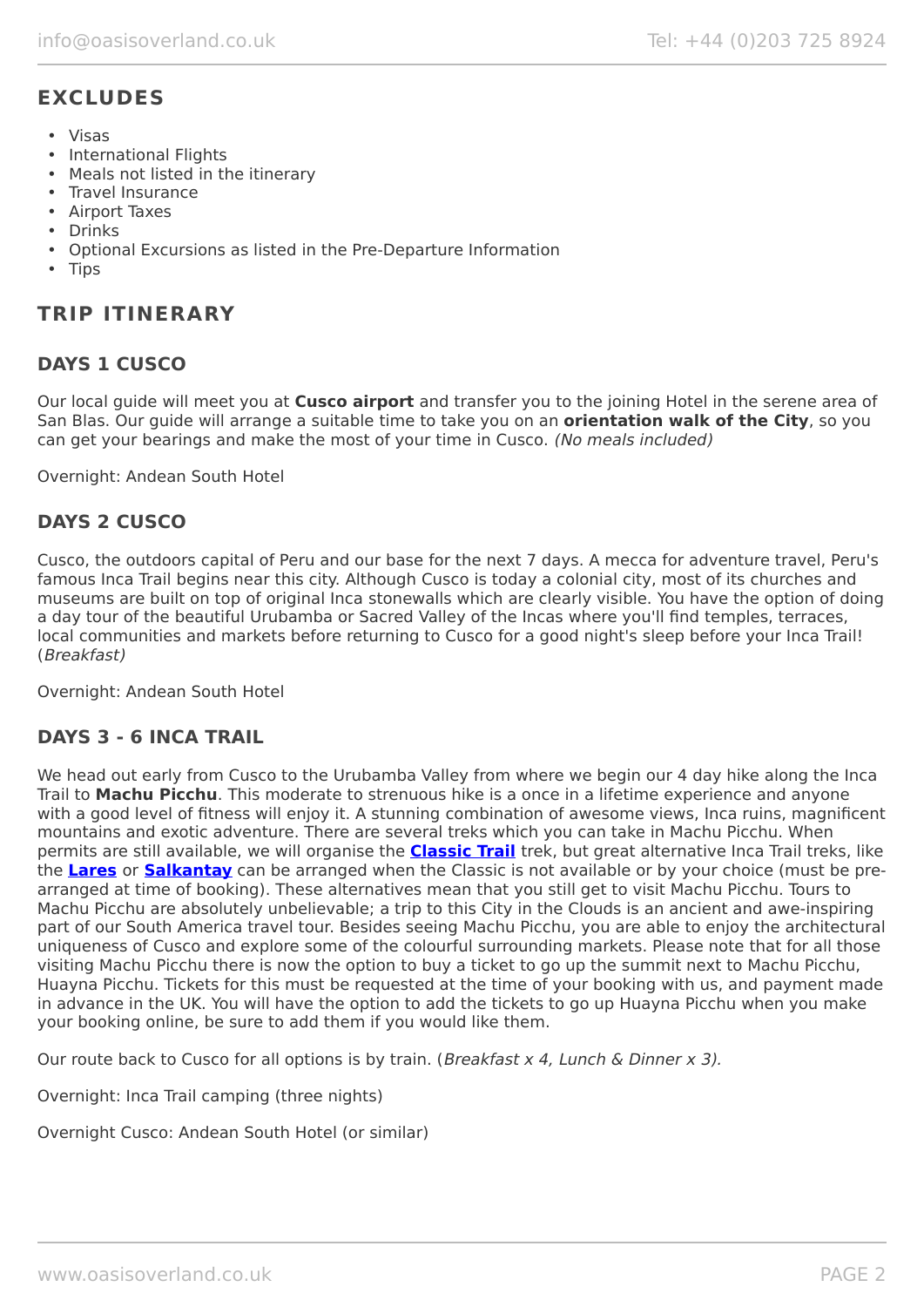# **EXCLUDES**

- Visas
- International Flights
- Meals not listed in the itinerary
- Travel Insurance
- Airport Taxes
- Drinks
- Optional Excursions as listed in the Pre-Departure Information
- Tips

# **TRIP ITINERARY**

# **DAYS 1 CUSCO**

Our local guide will meet you at **Cusco airport** and transfer you to the joining Hotel in the serene area of San Blas. Our guide will arrange a suitable time to take you on an **orientation walk of the City**, so you can get your bearings and make the most of your time in Cusco. (No meals included)

Overnight: Andean South Hotel

# **DAYS 2 CUSCO**

Cusco, the outdoors capital of Peru and our base for the next 7 days. A mecca for adventure travel, Peru's famous Inca Trail begins near this city. Although Cusco is today a colonial city, most of its churches and museums are built on top of original Inca stonewalls which are clearly visible. You have the option of doing a day tour of the beautiful Urubamba or Sacred Valley of the Incas where you'll find temples, terraces, local communities and markets before returning to Cusco for a good night's sleep before your Inca Trail! (Breakfast)

Overnight: Andean South Hotel

# **DAYS 3 - 6 INCA TRAIL**

We head out early from Cusco to the Urubamba Valley from where we begin our 4 day hike along the Inca Trail to **Machu Picchu**. This moderate to strenuous hike is a once in a lifetime experience and anyone with a good level of fitness will enjoy it. A stunning combination of awesome views, Inca ruins, magnificent mountains and exotic adventure. There are several treks which you can take in Machu Picchu. When permits are still available, we will organise the **[Classic Trail](https://www.oasisoverland.co.uk/classic-inca-trail-information)** trek, but great alternative Inca Trail treks, like the **[Lares](https://www.oasisoverland.co.uk/lares-inca-trail-information)** or **[Salkantay](https://www.oasisoverland.co.uk/salkantay-inca-trail-information)** can be arranged when the Classic is not available or by your choice (must be prearranged at time of booking). These alternatives mean that you still get to visit Machu Picchu. Tours to Machu Picchu are absolutely unbelievable; a trip to this City in the Clouds is an ancient and awe-inspiring part of our South America travel tour. Besides seeing Machu Picchu, you are able to enjoy the architectural uniqueness of Cusco and explore some of the colourful surrounding markets. Please note that for all those visiting Machu Picchu there is now the option to buy a ticket to go up the summit next to Machu Picchu, Huayna Picchu. Tickets for this must be requested at the time of your booking with us, and payment made in advance in the UK. You will have the option to add the tickets to go up Huayna Picchu when you make your booking online, be sure to add them if you would like them.

Our route back to Cusco for all options is by train. (Breakfast x 4, Lunch & Dinner x 3).

Overnight: Inca Trail camping (three nights)

Overnight Cusco: Andean South Hotel (or similar)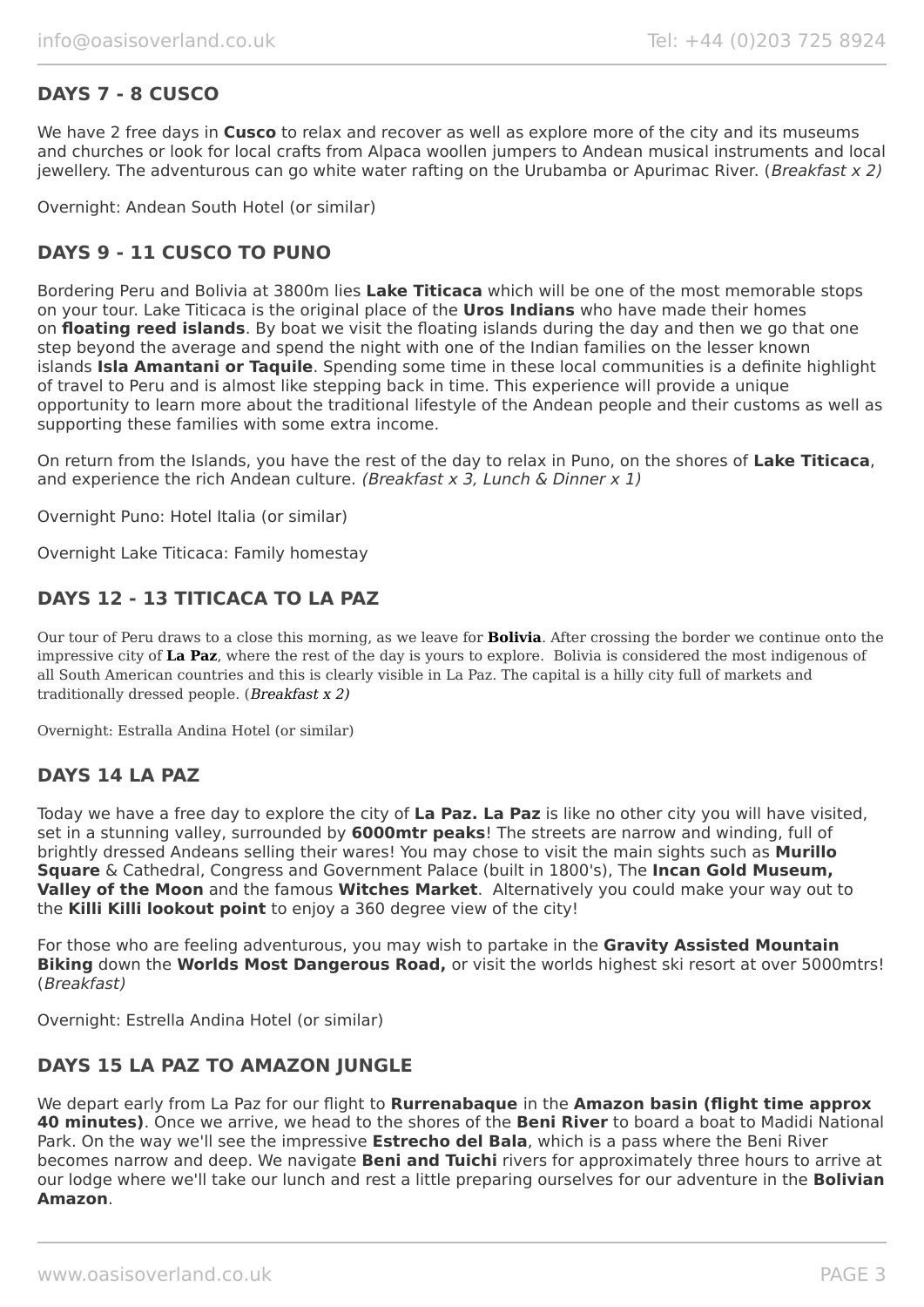# **DAYS 7 - 8 CUSCO**

We have 2 free days in **Cusco** to relax and recover as well as explore more of the city and its museums and churches or look for local crafts from Alpaca woollen jumpers to Andean musical instruments and local jewellery. The adventurous can go white water rafting on the Urubamba or Apurimac River. (*Breakfast x 2*)

Overnight: Andean South Hotel (or similar)

# **DAYS 9 - 11 CUSCO TO PUNO**

Bordering Peru and Bolivia at 3800m lies **Lake Titicaca** which will be one of the most memorable stops on your tour. Lake Titicaca is the original place of the **Uros Indians** who have made their homes on **floating reed islands**. By boat we visit the floating islands during the day and then we go that one step beyond the average and spend the night with one of the Indian families on the lesser known islands **Isla Amantani or Taquile**. Spending some time in these local communities is a definite highlight of travel to Peru and is almost like stepping back in time. This experience will provide a unique opportunity to learn more about the traditional lifestyle of the Andean people and their customs as well as supporting these families with some extra income.

On return from the Islands, you have the rest of the day to relax in Puno, on the shores of **Lake Titicaca**, and experience the rich Andean culture. (Breakfast x 3, Lunch & Dinner x 1)

Overnight Puno: Hotel Italia (or similar)

Overnight Lake Titicaca: Family homestay

# **DAYS 12 - 13 TITICACA TO LA PAZ**

Our tour of Peru draws to a close this morning, as we leave for **Bolivia**. After crossing the border we continue onto the impressive city of **La Paz**, where the rest of the day is yours to explore. Bolivia is considered the most indigenous of all South American countries and this is clearly visible in La Paz. The capital is a hilly city full of markets and traditionally dressed people. (Breakfast <sup>x</sup> 2)

Overnight: Estralla Andina Hotel (or similar)

# **DAYS 14 LA PAZ**

Today we have a free day to explore the city of **La Paz. La Paz** is like no other city you will have visited, set in a stunning valley, surrounded by **6000mtr peaks**! The streets are narrow and winding, full of brightly dressed Andeans selling their wares! You may chose to visit the main sights such as **Murillo Square** & Cathedral, Congress and Government Palace (built in 1800's), The **Incan Gold Museum, Valley of the Moon** and the famous **Witches Market**. Alternatively you could make your way out to the **Killi Killi lookout point** to enjoy a 360 degree view of the city!

For those who are feeling adventurous, you may wish to partake in the **Gravity Assisted Mountain Biking** down the **Worlds Most Dangerous Road,** or visit the worlds highest ski resort at over 5000mtrs! (Breakfast)

Overnight: Estrella Andina Hotel (or similar)

# **DAYS 15 LA PAZ TO AMAZON JUNGLE**

We depart early from La Paz for our flight to **Rurrenabaque** in the **Amazon basin (flight time approx 40 minutes)**. Once we arrive, we head to the shores of the **Beni River** to board a boat to Madidi National Park. On the way we'll see the impressive **Estrecho del Bala**, which is a pass where the Beni River becomes narrow and deep. We navigate **Beni and Tuichi** rivers for approximately three hours to arrive at our lodge where we'll take our lunch and rest a little preparing ourselves for our adventure in the **Bolivian Amazon**.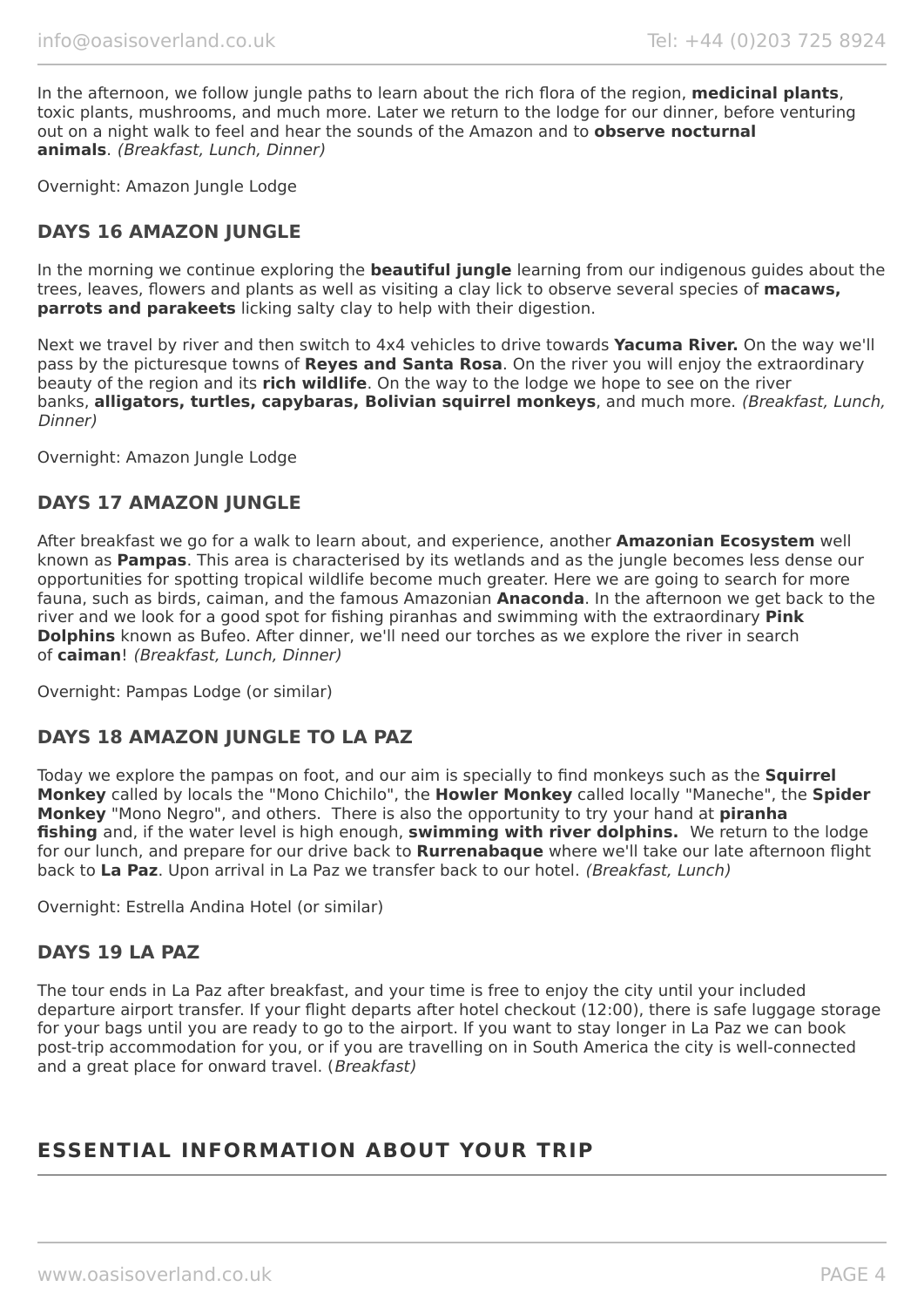In the afternoon, we follow jungle paths to learn about the rich flora of the region, **medicinal plants**, toxic plants, mushrooms, and much more. Later we return to the lodge for our dinner, before venturing out on a night walk to feel and hear the sounds of the Amazon and to **observe nocturnal animals**. (Breakfast, Lunch, Dinner)

Overnight: Amazon Jungle Lodge

# **DAYS 16 AMAZON JUNGLE**

In the morning we continue exploring the **beautiful jungle** learning from our indigenous guides about the trees, leaves, flowers and plants as well as visiting a clay lick to observe several species of **macaws, parrots and parakeets** licking salty clay to help with their digestion.

Next we travel by river and then switch to 4x4 vehicles to drive towards **Yacuma River.** On the way we'll pass by the picturesque towns of **Reyes and Santa Rosa**. On the river you will enjoy the extraordinary beauty of the region and its **rich wildlife**. On the way to the lodge we hope to see on the river banks, **alligators, turtles, capybaras, Bolivian squirrel monkeys**, and much more. (Breakfast, Lunch, Dinner)

Overnight: Amazon Jungle Lodge

# **DAYS 17 AMAZON JUNGLE**

After breakfast we go for a walk to learn about, and experience, another **Amazonian Ecosystem** well known as **Pampas**. This area is characterised by its wetlands and as the jungle becomes less dense our opportunities for spotting tropical wildlife become much greater. Here we are going to search for more fauna, such as birds, caiman, and the famous Amazonian **Anaconda**. In the afternoon we get back to the river and we look for a good spot for fishing piranhas and swimming with the extraordinary **Pink Dolphins** known as Bufeo. After dinner, we'll need our torches as we explore the river in search of **caiman**! (Breakfast, Lunch, Dinner)

Overnight: Pampas Lodge (or similar)

# **DAYS 18 AMAZON JUNGLE TO LA PAZ**

Today we explore the pampas on foot, and our aim is specially to find monkeys such as the **Squirrel Monkey** called by locals the "Mono Chichilo", the **Howler Monkey** called locally "Maneche", the **Spider Monkey** "Mono Negro", and others. There is also the opportunity to try your hand at **piranha fishing** and, if the water level is high enough, **swimming with river dolphins.** We return to the lodge for our lunch, and prepare for our drive back to **Rurrenabaque** where we'll take our late afternoon flight back to **La Paz**. Upon arrival in La Paz we transfer back to our hotel. (Breakfast, Lunch)

Overnight: Estrella Andina Hotel (or similar)

# **DAYS 19 LA PAZ**

The tour ends in La Paz after breakfast, and your time is free to enjoy the city until your included departure airport transfer. If your flight departs after hotel checkout (12:00), there is safe luggage storage for your bags until you are ready to go to the airport. If you want to stay longer in La Paz we can book post-trip accommodation for you, or if you are travelling on in South America the city is well-connected and a great place for onward travel. (Breakfast)

# **ESSENTIAL INFORMATION ABOUT YOUR TRIP**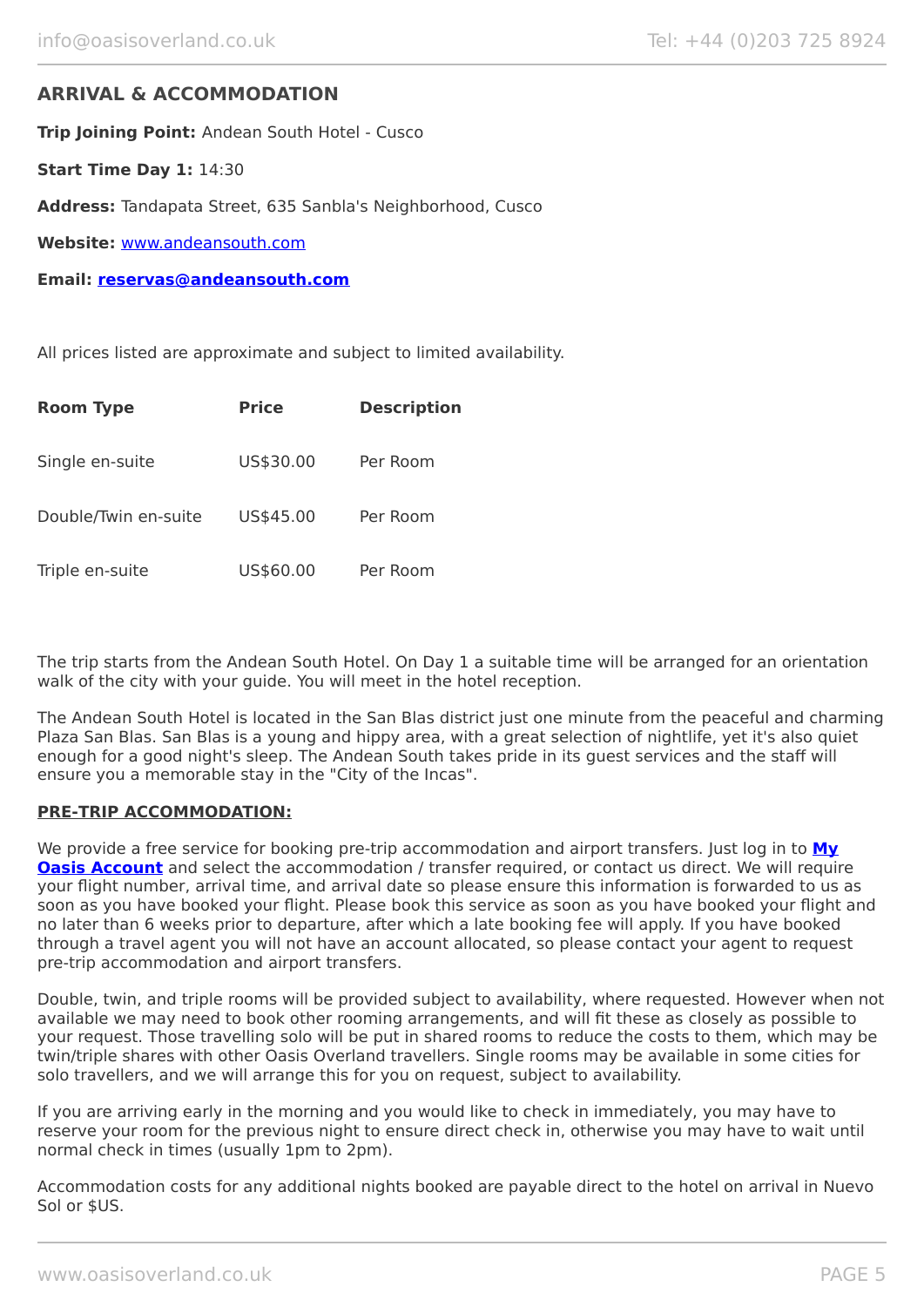# **ARRIVAL & ACCOMMODATION**

**Trip Joining Point:** Andean South Hotel - Cusco

**Start Time Day 1:** 14:30

**Address:** Tandapata Street, 635 Sanbla's Neighborhood, Cusco

**Website:** [www.andeansouth.com](http://www.andeansouth.com/)

**Email: [reservas@andeansouth.com](mailto:reservas@andeansouth.com)**

All prices listed are approximate and subject to limited availability.

| <b>Room Type</b>     | <b>Price</b> | <b>Description</b> |
|----------------------|--------------|--------------------|
| Single en-suite      | US\$30.00    | Per Room           |
| Double/Twin en-suite | US\$45.00    | Per Room           |
| Triple en-suite      | US\$60.00    | Per Room           |

The trip starts from the Andean South Hotel. On Day 1 a suitable time will be arranged for an orientation walk of the city with your guide. You will meet in the hotel reception.

The Andean South Hotel is located in the San Blas district just one minute from the peaceful and charming Plaza San Blas. San Blas is a young and hippy area, with a great selection of nightlife, yet it's also quiet enough for a good night's sleep. The Andean South takes pride in its guest services and the staff will ensure you a memorable stay in the "City of the Incas".

#### **PRE-TRIP ACCOMMODATION:**

We provide a free service for booking pre-trip accommodation and airport transfers. Just log in to **[My](https://oasisportal.eecsoftware.com/login.php) [Oasis Account](https://oasisportal.eecsoftware.com/login.php)** and select the accommodation / transfer required, or contact us direct. We will require your flight number, arrival time, and arrival date so please ensure this information is forwarded to us as soon as you have booked your flight. Please book this service as soon as you have booked your flight and no later than 6 weeks prior to departure, after which a late booking fee will apply. If you have booked through a travel agent you will not have an account allocated, so please contact your agent to request pre-trip accommodation and airport transfers.

Double, twin, and triple rooms will be provided subject to availability, where requested. However when not available we may need to book other rooming arrangements, and will fit these as closely as possible to your request. Those travelling solo will be put in shared rooms to reduce the costs to them, which may be twin/triple shares with other Oasis Overland travellers. Single rooms may be available in some cities for solo travellers, and we will arrange this for you on request, subject to availability.

If you are arriving early in the morning and you would like to check in immediately, you may have to reserve your room for the previous night to ensure direct check in, otherwise you may have to wait until normal check in times (usually 1pm to 2pm).

Accommodation costs for any additional nights booked are payable direct to the hotel on arrival in Nuevo Sol or \$US.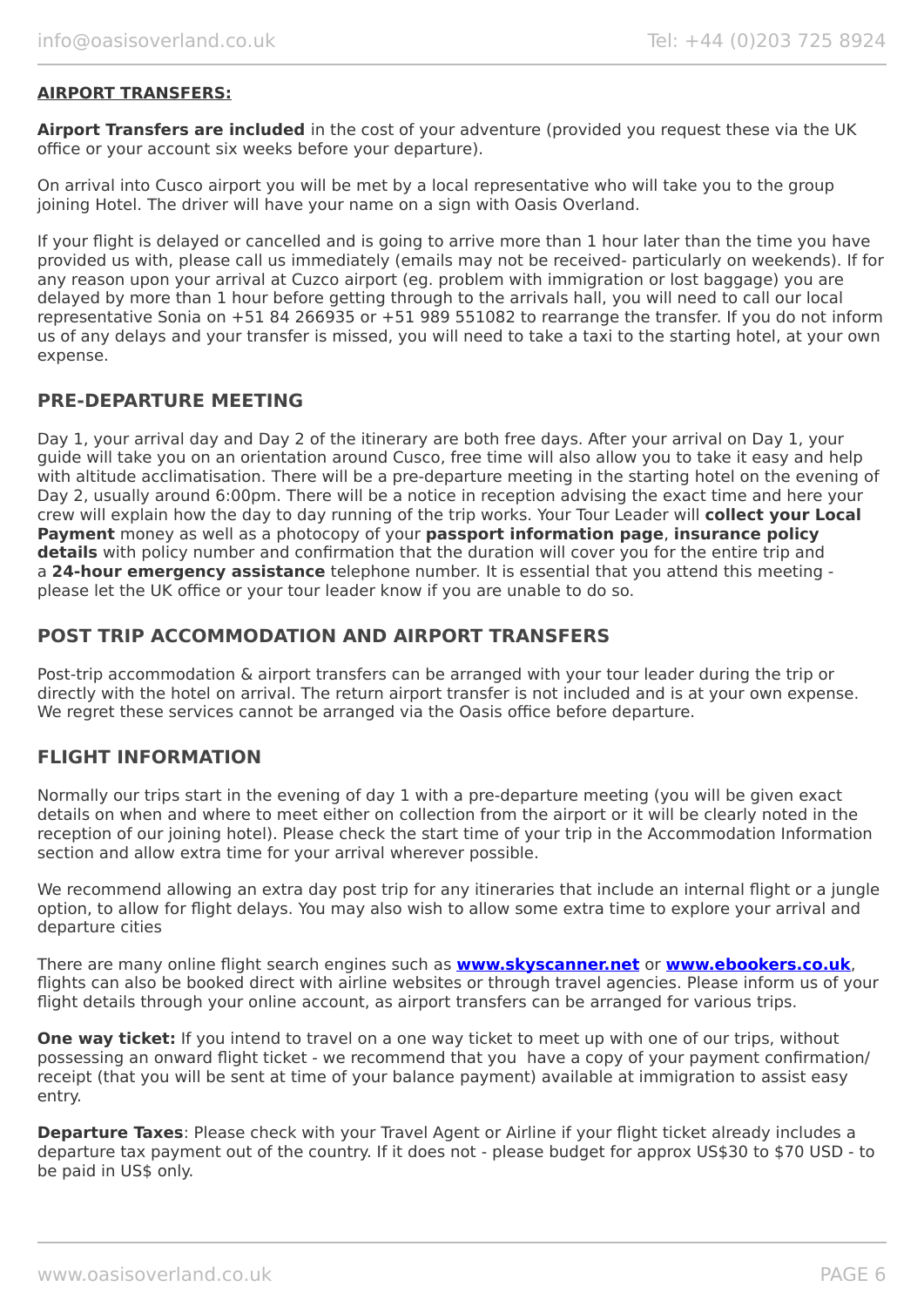### **AIRPORT TRANSFERS:**

**Airport Transfers are included** in the cost of your adventure (provided you request these via the UK office or your account six weeks before your departure).

On arrival into Cusco airport you will be met by a local representative who will take you to the group joining Hotel. The driver will have your name on a sign with Oasis Overland.

If your flight is delayed or cancelled and is going to arrive more than 1 hour later than the time you have provided us with, please call us immediately (emails may not be received- particularly on weekends). If for any reason upon your arrival at Cuzco airport (eg. problem with immigration or lost baggage) you are delayed by more than 1 hour before getting through to the arrivals hall, you will need to call our local representative Sonia on +51 84 266935 or +51 989 551082 to rearrange the transfer. If you do not inform us of any delays and your transfer is missed, you will need to take a taxi to the starting hotel, at your own expense.

### **PRE-DEPARTURE MEETING**

Day 1, your arrival day and Day 2 of the itinerary are both free days. After your arrival on Day 1, your guide will take you on an orientation around Cusco, free time will also allow you to take it easy and help with altitude acclimatisation. There will be a pre-departure meeting in the starting hotel on the evening of Day 2, usually around 6:00pm. There will be a notice in reception advising the exact time and here your crew will explain how the day to day running of the trip works. Your Tour Leader will **collect your Local Payment** money as well as a photocopy of your **passport information page**, **insurance policy details** with policy number and confirmation that the duration will cover you for the entire trip and a **24-hour emergency assistance** telephone number. It is essential that you attend this meeting please let the UK office or your tour leader know if you are unable to do so.

# **POST TRIP ACCOMMODATION AND AIRPORT TRANSFERS**

Post-trip accommodation & airport transfers can be arranged with your tour leader during the trip or directly with the hotel on arrival. The return airport transfer is not included and is at your own expense. We regret these services cannot be arranged via the Oasis office before departure.

# **FLIGHT INFORMATION**

Normally our trips start in the evening of day 1 with a pre-departure meeting (you will be given exact details on when and where to meet either on collection from the airport or it will be clearly noted in the reception of our joining hotel). Please check the start time of your trip in the Accommodation Information section and allow extra time for your arrival wherever possible.

We recommend allowing an extra day post trip for any itineraries that include an internal flight or a jungle option, to allow for flight delays. You may also wish to allow some extra time to explore your arrival and departure cities

There are many online flight search engines such as **[www.skyscanner.net](http://www.dpbolvw.net/click-5720161-10639348)** or **[www.ebookers.co.uk](http://www.ebookers.co.uk/)**, flights can also be booked direct with airline websites or through travel agencies. Please inform us of your flight details through your online account, as airport transfers can be arranged for various trips.

**One way ticket:** If you intend to travel on a one way ticket to meet up with one of our trips, without possessing an onward flight ticket - we recommend that you have a copy of your payment confirmation/ receipt (that you will be sent at time of your balance payment) available at immigration to assist easy entry.

**Departure Taxes:** Please check with your Travel Agent or Airline if your flight ticket already includes a departure tax payment out of the country. If it does not - please budget for approx US\$30 to \$70 USD - to be paid in US\$ only.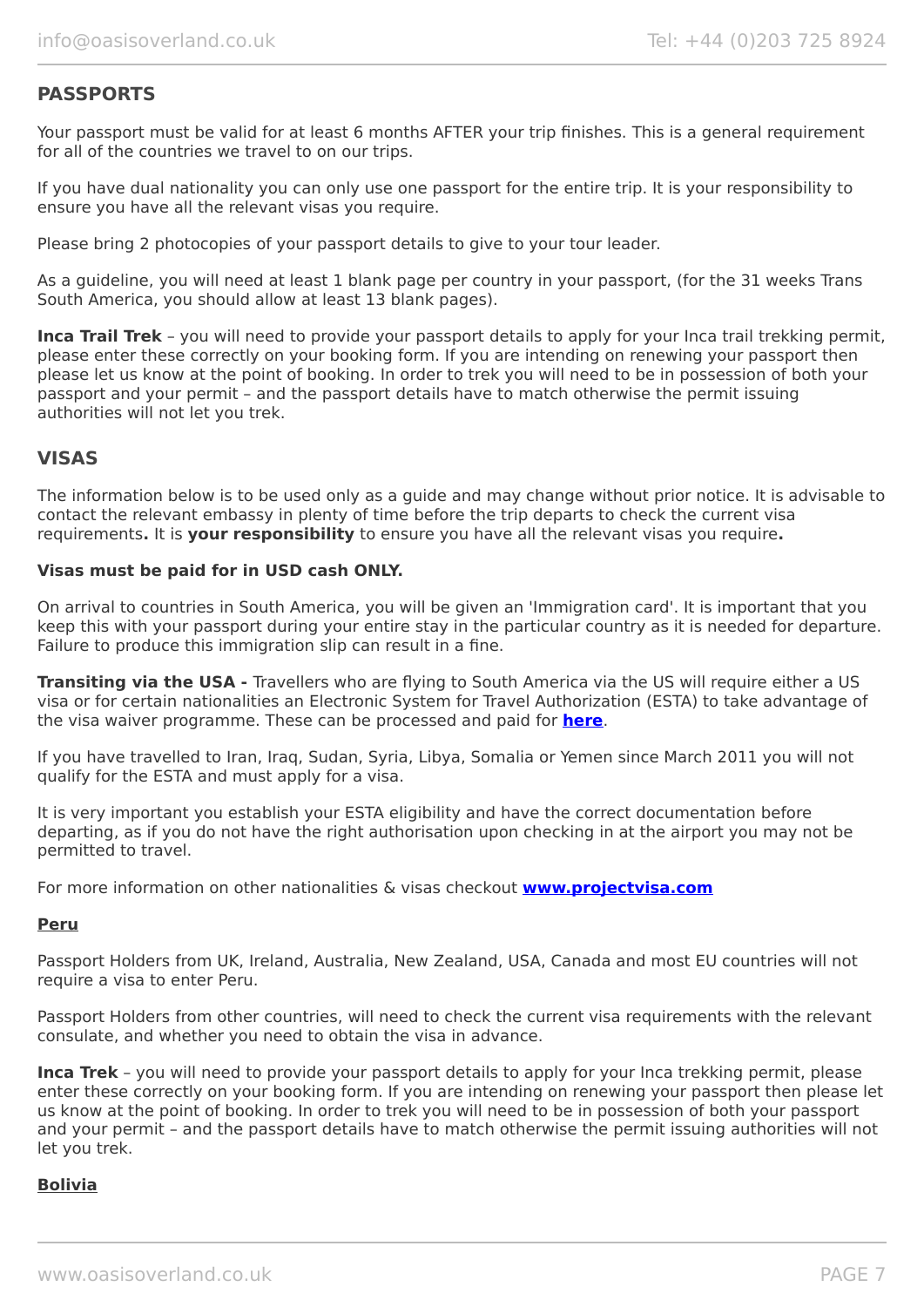# **PASSPORTS**

Your passport must be valid for at least 6 months AFTER your trip finishes. This is a general requirement for all of the countries we travel to on our trips.

If you have dual nationality you can only use one passport for the entire trip. It is your responsibility to ensure you have all the relevant visas you require.

Please bring 2 photocopies of your passport details to give to your tour leader.

As a guideline, you will need at least 1 blank page per country in your passport, (for the 31 weeks Trans South America, you should allow at least 13 blank pages).

**Inca Trail Trek** – you will need to provide your passport details to apply for your Inca trail trekking permit, please enter these correctly on your booking form. If you are intending on renewing your passport then please let us know at the point of booking. In order to trek you will need to be in possession of both your passport and your permit – and the passport details have to match otherwise the permit issuing authorities will not let you trek.

# **VISAS**

The information below is to be used only as a guide and may change without prior notice. It is advisable to contact the relevant embassy in plenty of time before the trip departs to check the current visa requirements**.** It is **your responsibility** to ensure you have all the relevant visas you require**.**

#### **Visas must be paid for in USD cash ONLY.**

On arrival to countries in South America, you will be given an 'Immigration card'. It is important that you keep this with your passport during your entire stay in the particular country as it is needed for departure. Failure to produce this immigration slip can result in a fine.

**Transiting via the USA -** Travellers who are flying to South America via the US will require either a US visa or for certain nationalities an Electronic System for Travel Authorization (ESTA) to take advantage of the visa waiver programme. These can be processed and paid for **[here](https://esta.cbp.dhs.gov/esta/)**.

If you have travelled to Iran, Iraq, Sudan, Syria, Libya, Somalia or Yemen since March 2011 you will not qualify for the ESTA and must apply for a visa.

It is very important you establish your ESTA eligibility and have the correct documentation before departing, as if you do not have the right authorisation upon checking in at the airport you may not be permitted to travel.

For more information on other nationalities & visas checkout **[www.projectvisa.com](http://www.projectvisa.com/)**

#### **Peru**

Passport Holders from UK, Ireland, Australia, New Zealand, USA, Canada and most EU countries will not require a visa to enter Peru.

Passport Holders from other countries, will need to check the current visa requirements with the relevant consulate, and whether you need to obtain the visa in advance.

**Inca Trek** – you will need to provide your passport details to apply for your Inca trekking permit, please enter these correctly on your booking form. If you are intending on renewing your passport then please let us know at the point of booking. In order to trek you will need to be in possession of both your passport and your permit – and the passport details have to match otherwise the permit issuing authorities will not let you trek.

#### **Bolivia**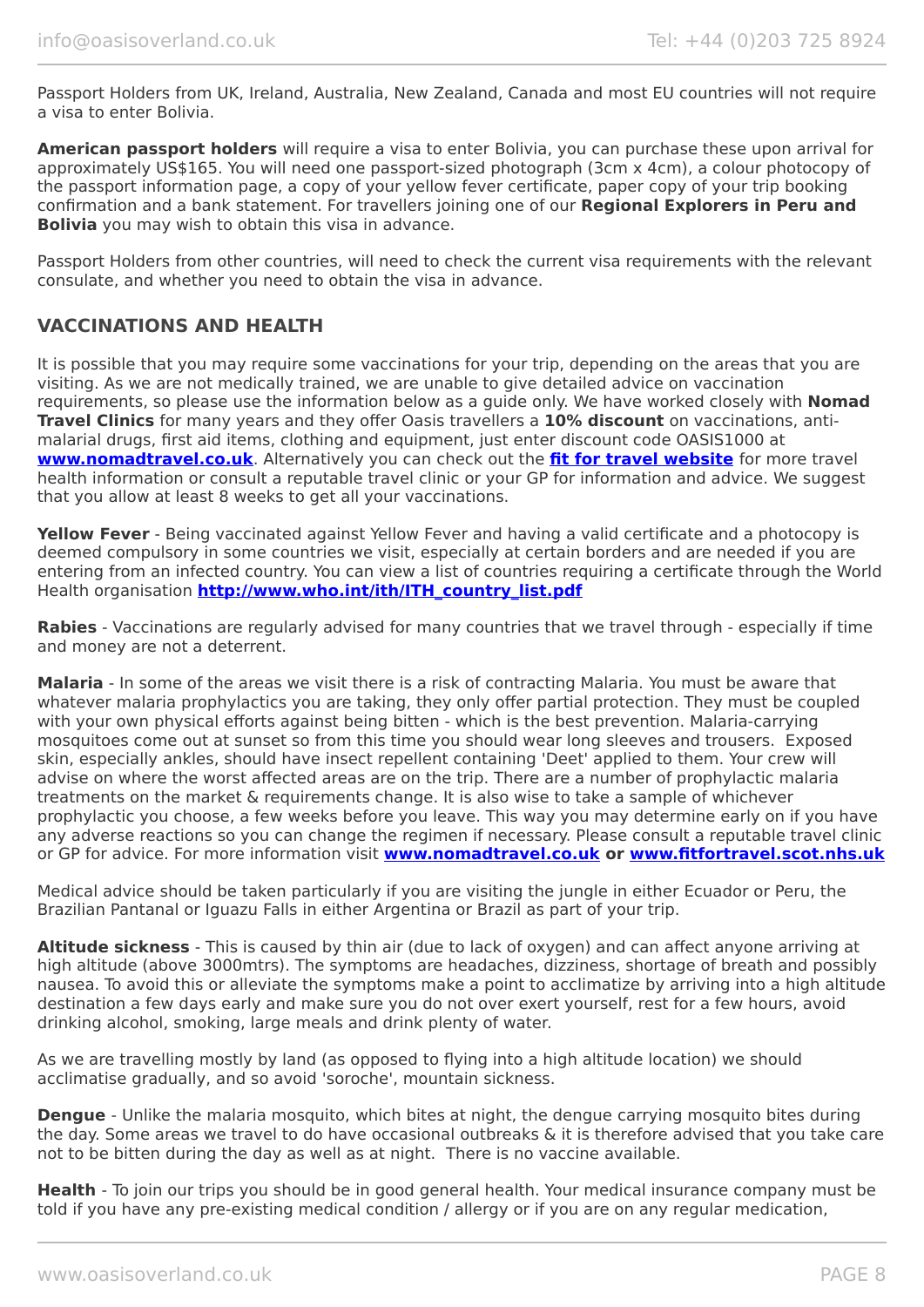Passport Holders from UK, Ireland, Australia, New Zealand, Canada and most EU countries will not require a visa to enter Bolivia.

**American passport holders** will require a visa to enter Bolivia, you can purchase these upon arrival for approximately US\$165. You will need one passport-sized photograph (3cm x 4cm), a colour photocopy of the passport information page, a copy of your yellow fever certificate, paper copy of your trip booking confirmation and a bank statement. For travellers joining one of our **Regional Explorers in Peru and Bolivia** you may wish to obtain this visa in advance.

Passport Holders from other countries, will need to check the current visa requirements with the relevant consulate, and whether you need to obtain the visa in advance.

# **VACCINATIONS AND HEALTH**

It is possible that you may require some vaccinations for your trip, depending on the areas that you are visiting. As we are not medically trained, we are unable to give detailed advice on vaccination requirements, so please use the information below as a guide only. We have worked closely with **Nomad Travel Clinics** for many years and they offer Oasis travellers a **10% discount** on vaccinations, antimalarial drugs, first aid items, clothing and equipment, just enter discount code OASIS1000 at **[www.nomadtravel.co.uk](http://www.nomadtravel.co.uk/)**. Alternatively you can check out the **[fit for travel website](http://www.fitfortravel.scot.nhs.uk/home.aspx)** for more travel health information or consult a reputable travel clinic or your GP for information and advice. We suggest that you allow at least 8 weeks to get all your vaccinations.

**Yellow Fever** - Being vaccinated against Yellow Fever and having a valid certificate and a photocopy is deemed compulsory in some countries we visit, especially at certain borders and are needed if you are entering from an infected country. You can view a list of countries requiring a certificate through the World Health organisation **[http://www.who.int/ith/ITH\\_country\\_list.pdf](http://www.who.int/ith/ITH_country_list.pdf)** 

**Rabies** - Vaccinations are regularly advised for many countries that we travel through - especially if time and money are not a deterrent.

**Malaria** - In some of the areas we visit there is a risk of contracting Malaria. You must be aware that whatever malaria prophylactics you are taking, they only offer partial protection. They must be coupled with your own physical efforts against being bitten - which is the best prevention. Malaria-carrying mosquitoes come out at sunset so from this time you should wear long sleeves and trousers. Exposed skin, especially ankles, should have insect repellent containing 'Deet' applied to them. Your crew will advise on where the worst affected areas are on the trip. There are a number of prophylactic malaria treatments on the market & requirements change. It is also wise to take a sample of whichever prophylactic you choose, a few weeks before you leave. This way you may determine early on if you have any adverse reactions so you can change the regimen if necessary. Please consult a reputable travel clinic or GP for advice. For more information visit **[www.nomadtravel.co.uk](https://www.nomadtravel.co.uk/) or [www.fitfortravel.scot.nhs.uk](http://www.fitfortravel.scot.nhs.uk/)**

Medical advice should be taken particularly if you are visiting the jungle in either Ecuador or Peru, the Brazilian Pantanal or Iguazu Falls in either Argentina or Brazil as part of your trip.

**Altitude sickness** - This is caused by thin air (due to lack of oxygen) and can affect anyone arriving at high altitude (above 3000mtrs). The symptoms are headaches, dizziness, shortage of breath and possibly nausea. To avoid this or alleviate the symptoms make a point to acclimatize by arriving into a high altitude destination a few days early and make sure you do not over exert yourself, rest for a few hours, avoid drinking alcohol, smoking, large meals and drink plenty of water.

As we are travelling mostly by land (as opposed to flying into a high altitude location) we should acclimatise gradually, and so avoid 'soroche', mountain sickness.

**Dengue** - Unlike the malaria mosquito, which bites at night, the dengue carrying mosquito bites during the day. Some areas we travel to do have occasional outbreaks & it is therefore advised that you take care not to be bitten during the day as well as at night. There is no vaccine available.

**Health** - To join our trips you should be in good general health. Your medical insurance company must be told if you have any pre-existing medical condition / allergy or if you are on any regular medication,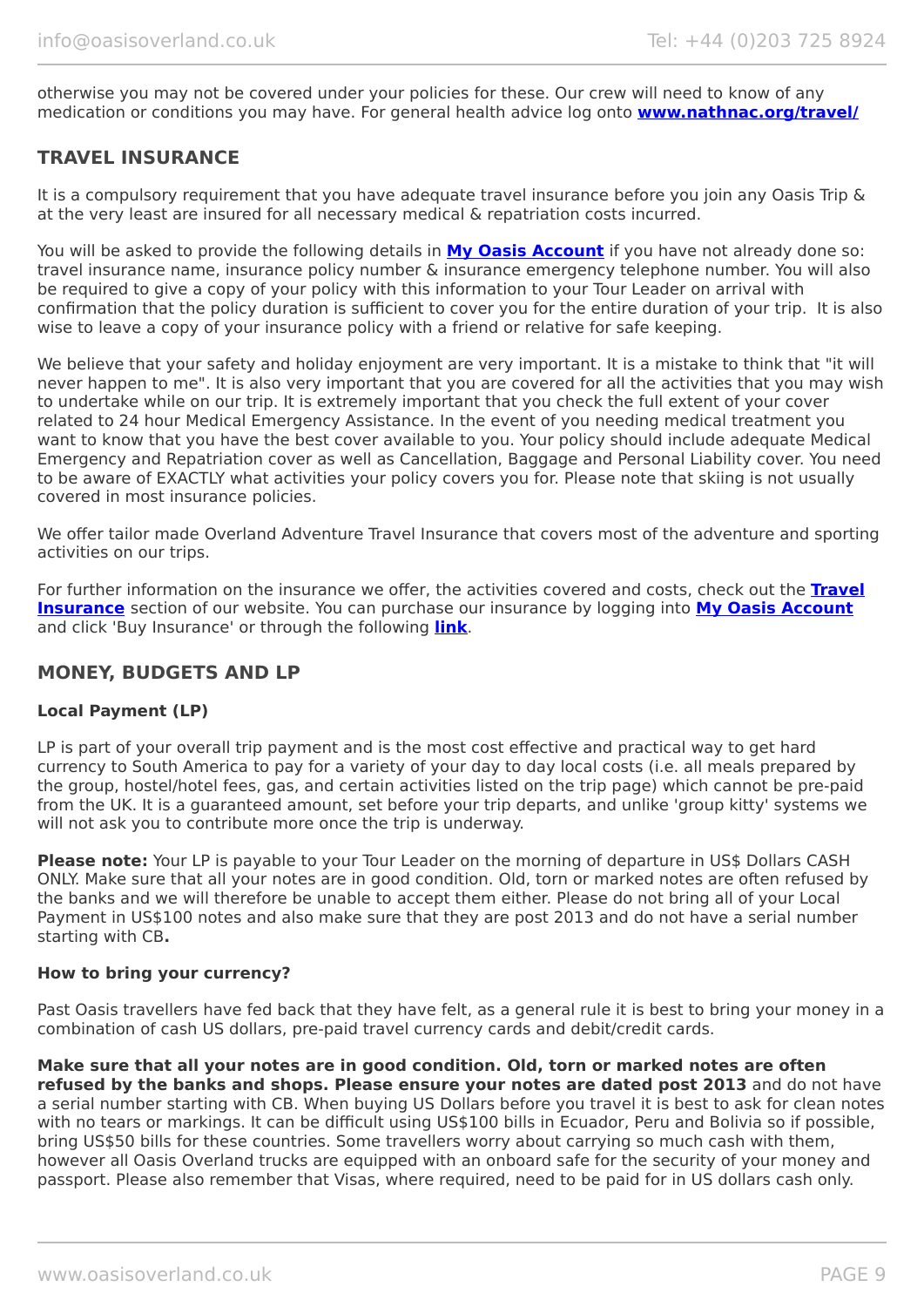otherwise you may not be covered under your policies for these. Our crew will need to know of any medication or conditions you may have. For general health advice log onto **[www.nathnac.org/travel/](http://www.nathnac.org/travel/index.htm)**

# **TRAVEL INSURANCE**

It is a compulsory requirement that you have adequate travel insurance before you join any Oasis Trip & at the very least are insured for all necessary medical & repatriation costs incurred.

You will be asked to provide the following details in **My [Oasis Account](https://oasisportal.eecsoftware.com/)** if you have not already done so: travel insurance name, insurance policy number & insurance emergency telephone number. You will also be required to give a copy of your policy with this information to your Tour Leader on arrival with confirmation that the policy duration is sufficient to cover you for the entire duration of your trip. It is also wise to leave a copy of your insurance policy with a friend or relative for safe keeping.

We believe that your safety and holiday enjoyment are very important. It is a mistake to think that "it will never happen to me". It is also very important that you are covered for all the activities that you may wish to undertake while on our trip. It is extremely important that you check the full extent of your cover related to 24 hour Medical Emergency Assistance. In the event of you needing medical treatment you want to know that you have the best cover available to you. Your policy should include adequate Medical Emergency and Repatriation cover as well as Cancellation, Baggage and Personal Liability cover. You need to be aware of EXACTLY what activities your policy covers you for. Please note that skiing is not usually covered in most insurance policies.

We offer tailor made Overland Adventure Travel Insurance that covers most of the adventure and sporting activities on our trips.

For further information on the insurance we offer, the activities covered and costs, check out the **[Travel](https://www.oasisoverland.co.uk/travel-insurance) [Insurance](https://www.oasisoverland.co.uk/travel-insurance)** section of our website. You can purchase our insurance by logging into **[My Oasis Account](https://oasisportal.eecsoftware.com/)** and click 'Buy Insurance' or through the following **[link](https://www.campbellirvinedirect.com/oasisoverland/)**.

# **MONEY, BUDGETS AND LP**

#### **Local Payment (LP)**

LP is part of your overall trip payment and is the most cost effective and practical way to get hard currency to South America to pay for a variety of your day to day local costs (i.e. all meals prepared by the group, hostel/hotel fees, gas, and certain activities listed on the trip page) which cannot be pre-paid from the UK. It is a guaranteed amount, set before your trip departs, and unlike 'group kitty' systems we will not ask you to contribute more once the trip is underway.

**Please note:** Your LP is payable to your Tour Leader on the morning of departure in US\$ Dollars CASH ONLY. Make sure that all your notes are in good condition. Old, torn or marked notes are often refused by the banks and we will therefore be unable to accept them either. Please do not bring all of your Local Payment in US\$100 notes and also make sure that they are post 2013 and do not have a serial number starting with CB**.**

#### **How to bring your currency?**

Past Oasis travellers have fed back that they have felt, as a general rule it is best to bring your money in a combination of cash US dollars, pre-paid travel currency cards and debit/credit cards.

**Make sure that all your notes are in good condition. Old, torn or marked notes are often refused by the banks and shops. Please ensure your notes are dated post 2013** and do not have a serial number starting with CB. When buying US Dollars before you travel it is best to ask for clean notes with no tears or markings. It can be difficult using US\$100 bills in Ecuador, Peru and Bolivia so if possible, bring US\$50 bills for these countries. Some travellers worry about carrying so much cash with them, however all Oasis Overland trucks are equipped with an onboard safe for the security of your money and passport. Please also remember that Visas, where required, need to be paid for in US dollars cash only.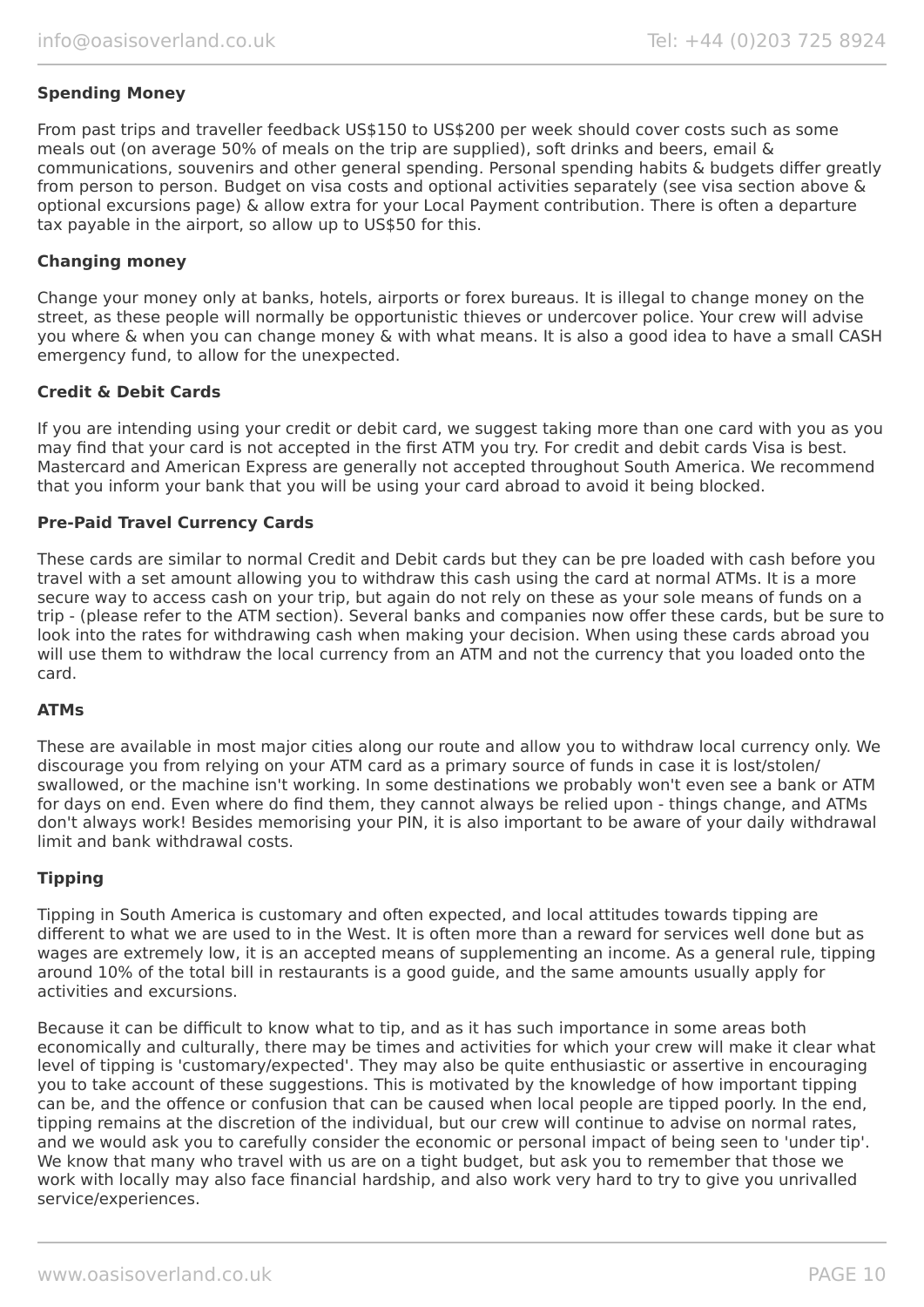# **Spending Money**

From past trips and traveller feedback US\$150 to US\$200 per week should cover costs such as some meals out (on average 50% of meals on the trip are supplied), soft drinks and beers, email & communications, souvenirs and other general spending. Personal spending habits & budgets differ greatly from person to person. Budget on visa costs and optional activities separately (see visa section above & optional excursions page) & allow extra for your Local Payment contribution. There is often a departure tax payable in the airport, so allow up to US\$50 for this.

#### **Changing money**

Change your money only at banks, hotels, airports or forex bureaus. It is illegal to change money on the street, as these people will normally be opportunistic thieves or undercover police. Your crew will advise you where & when you can change money & with what means. It is also a good idea to have a small CASH emergency fund, to allow for the unexpected.

#### **Credit & Debit Cards**

If you are intending using your credit or debit card, we suggest taking more than one card with you as you may find that your card is not accepted in the first ATM you try. For credit and debit cards Visa is best. Mastercard and American Express are generally not accepted throughout South America. We recommend that you inform your bank that you will be using your card abroad to avoid it being blocked.

#### **Pre-Paid Travel Currency Cards**

These cards are similar to normal Credit and Debit cards but they can be pre loaded with cash before you travel with a set amount allowing you to withdraw this cash using the card at normal ATMs. It is a more secure way to access cash on your trip, but again do not rely on these as your sole means of funds on a trip - (please refer to the ATM section). Several banks and companies now offer these cards, but be sure to look into the rates for withdrawing cash when making your decision. When using these cards abroad you will use them to withdraw the local currency from an ATM and not the currency that you loaded onto the card.

#### **ATMs**

These are available in most major cities along our route and allow you to withdraw local currency only. We discourage you from relying on your ATM card as a primary source of funds in case it is lost/stolen/ swallowed, or the machine isn't working. In some destinations we probably won't even see a bank or ATM for days on end. Even where do find them, they cannot always be relied upon - things change, and ATMs don't always work! Besides memorising your PIN, it is also important to be aware of your daily withdrawal limit and bank withdrawal costs.

#### **Tipping**

Tipping in South America is customary and often expected, and local attitudes towards tipping are different to what we are used to in the West. It is often more than a reward for services well done but as wages are extremely low, it is an accepted means of supplementing an income. As a general rule, tipping around 10% of the total bill in restaurants is a good guide, and the same amounts usually apply for activities and excursions.

Because it can be difficult to know what to tip, and as it has such importance in some areas both economically and culturally, there may be times and activities for which your crew will make it clear what level of tipping is 'customary/expected'. They may also be quite enthusiastic or assertive in encouraging you to take account of these suggestions. This is motivated by the knowledge of how important tipping can be, and the offence or confusion that can be caused when local people are tipped poorly. In the end, tipping remains at the discretion of the individual, but our crew will continue to advise on normal rates, and we would ask you to carefully consider the economic or personal impact of being seen to 'under tip'. We know that many who travel with us are on a tight budget, but ask you to remember that those we work with locally may also face financial hardship, and also work very hard to try to give you unrivalled service/experiences.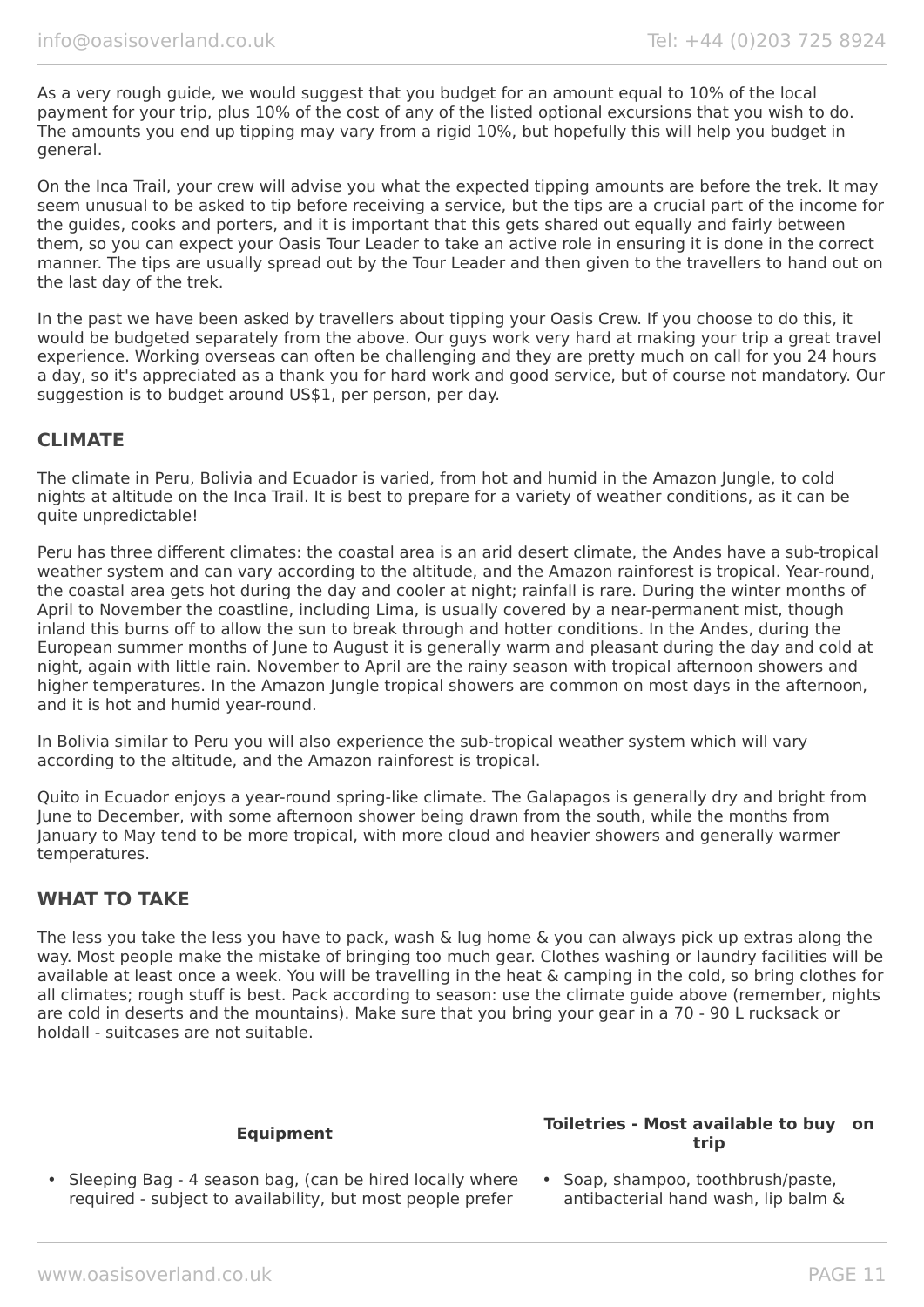As a very rough guide, we would suggest that you budget for an amount equal to 10% of the local payment for your trip, plus 10% of the cost of any of the listed optional excursions that you wish to do. The amounts you end up tipping may vary from a rigid 10%, but hopefully this will help you budget in general.

On the Inca Trail, your crew will advise you what the expected tipping amounts are before the trek. It may seem unusual to be asked to tip before receiving a service, but the tips are a crucial part of the income for the guides, cooks and porters, and it is important that this gets shared out equally and fairly between them, so you can expect your Oasis Tour Leader to take an active role in ensuring it is done in the correct manner. The tips are usually spread out by the Tour Leader and then given to the travellers to hand out on the last day of the trek.

In the past we have been asked by travellers about tipping your Oasis Crew. If you choose to do this, it would be budgeted separately from the above. Our guys work very hard at making your trip a great travel experience. Working overseas can often be challenging and they are pretty much on call for you 24 hours a day, so it's appreciated as a thank you for hard work and good service, but of course not mandatory. Our suggestion is to budget around US\$1, per person, per day.

# **CLIMATE**

The climate in Peru, Bolivia and Ecuador is varied, from hot and humid in the Amazon Jungle, to cold nights at altitude on the Inca Trail. It is best to prepare for a variety of weather conditions, as it can be quite unpredictable!

Peru has three different climates: the coastal area is an arid desert climate, the Andes have a sub-tropical weather system and can vary according to the altitude, and the Amazon rainforest is tropical. Year-round, the coastal area gets hot during the day and cooler at night; rainfall is rare. During the winter months of April to November the coastline, including Lima, is usually covered by a near-permanent mist, though inland this burns off to allow the sun to break through and hotter conditions. In the Andes, during the European summer months of June to August it is generally warm and pleasant during the day and cold at night, again with little rain. November to April are the rainy season with tropical afternoon showers and higher temperatures. In the Amazon Jungle tropical showers are common on most days in the afternoon, and it is hot and humid year-round.

In Bolivia similar to Peru you will also experience the sub-tropical weather system which will vary according to the altitude, and the Amazon rainforest is tropical.

Quito in Ecuador enjoys a year-round spring-like climate. The Galapagos is generally dry and bright from June to December, with some afternoon shower being drawn from the south, while the months from January to May tend to be more tropical, with more cloud and heavier showers and generally warmer temperatures.

# **WHAT TO TAKE**

The less you take the less you have to pack, wash & lug home & you can always pick up extras along the way. Most people make the mistake of bringing too much gear. Clothes washing or laundry facilities will be available at least once a week. You will be travelling in the heat & camping in the cold, so bring clothes for all climates; rough stuff is best. Pack according to season: use the climate guide above (remember, nights are cold in deserts and the mountains). Make sure that you bring your gear in a 70 - 90 L rucksack or holdall - suitcases are not suitable.

Sleeping Bag - 4 season bag, (can be hired locally where required - subject to availability, but most people prefer

#### **Equipment Toiletries - Most available to buy on trip**

• Soap, shampoo, toothbrush/paste, antibacterial hand wash, lip balm &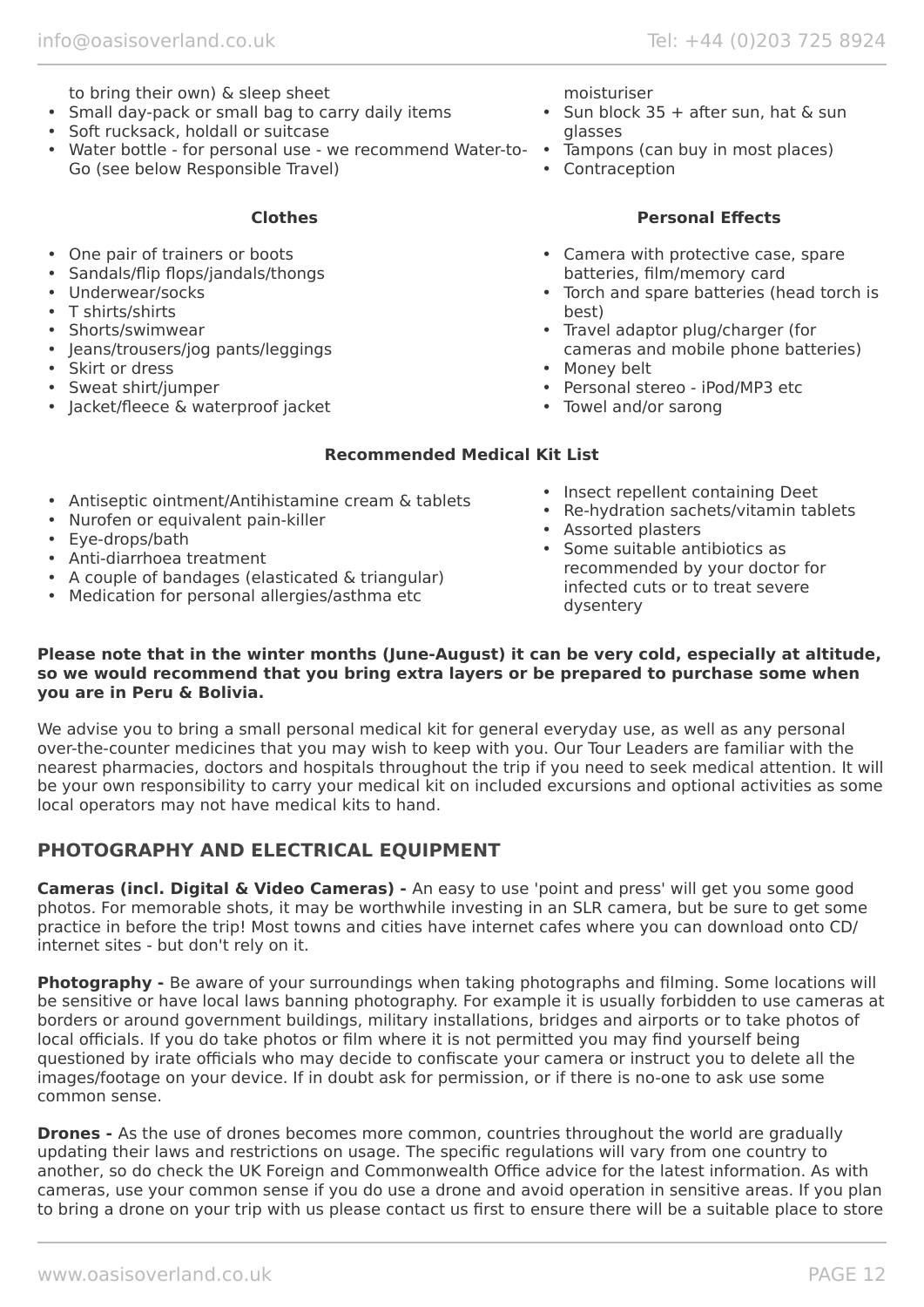to bring their own) & sleep sheet

- Small day-pack or small bag to carry daily items
- Soft rucksack, holdall or suitcase
- Water bottle for personal use we recommend Water-to- Tampons (can buy in most places) Go (see below Responsible Travel)

- One pair of trainers or boots
- Sandals/flip flops/jandals/thongs
- Underwear/socks
- T shirts/shirts
- Shorts/swimwear
- Jeans/trousers/jog pants/leggings
- Skirt or dress
- Sweat shirt/jumper
- Jacket/fleece & waterproof jacket

moisturiser

- Sun block 35 + after sun, hat & sun glasses
- 
- Contraception

#### **Clothes Personal Effects**

- Camera with protective case, spare batteries, film/memory card
- Torch and spare batteries (head torch is best)
- Travel adaptor plug/charger (for cameras and mobile phone batteries)
- Money belt
- Personal stereo iPod/MP3 etc
- Towel and/or sarong

#### **Recommended Medical Kit List**

- Antiseptic ointment/Antihistamine cream & tablets
- Nurofen or equivalent pain-killer
- Eye-drops/bath
- Anti-diarrhoea treatment
- A couple of bandages (elasticated & triangular)
- Medication for personal allergies/asthma etc
- Insect repellent containing Deet
- Re-hydration sachets/vitamin tablets
- Assorted plasters
- Some suitable antibiotics as recommended by your doctor for infected cuts or to treat severe dysentery

#### **Please note that in the winter months (June-August) it can be very cold, especially at altitude, so we would recommend that you bring extra layers or be prepared to purchase some when you are in Peru & Bolivia.**

We advise you to bring a small personal medical kit for general everyday use, as well as any personal over-the-counter medicines that you may wish to keep with you. Our Tour Leaders are familiar with the nearest pharmacies, doctors and hospitals throughout the trip if you need to seek medical attention. It will be your own responsibility to carry your medical kit on included excursions and optional activities as some local operators may not have medical kits to hand.

# **PHOTOGRAPHY AND ELECTRICAL EQUIPMENT**

**Cameras (incl. Digital & Video Cameras) -** An easy to use 'point and press' will get you some good photos. For memorable shots, it may be worthwhile investing in an SLR camera, but be sure to get some practice in before the trip! Most towns and cities have internet cafes where you can download onto CD/ internet sites - but don't rely on it.

**Photography -** Be aware of your surroundings when taking photographs and filming. Some locations will be sensitive or have local laws banning photography. For example it is usually forbidden to use cameras at borders or around government buildings, military installations, bridges and airports or to take photos of local officials. If you do take photos or film where it is not permitted you may find yourself being questioned by irate officials who may decide to confiscate your camera or instruct you to delete all the images/footage on your device. If in doubt ask for permission, or if there is no-one to ask use some common sense.

**Drones -** As the use of drones becomes more common, countries throughout the world are gradually updating their laws and restrictions on usage. The specific regulations will vary from one country to another, so do check the UK Foreign and Commonwealth Office advice for the latest information. As with cameras, use your common sense if you do use a drone and avoid operation in sensitive areas. If you plan to bring a drone on your trip with us please contact us first to ensure there will be a suitable place to store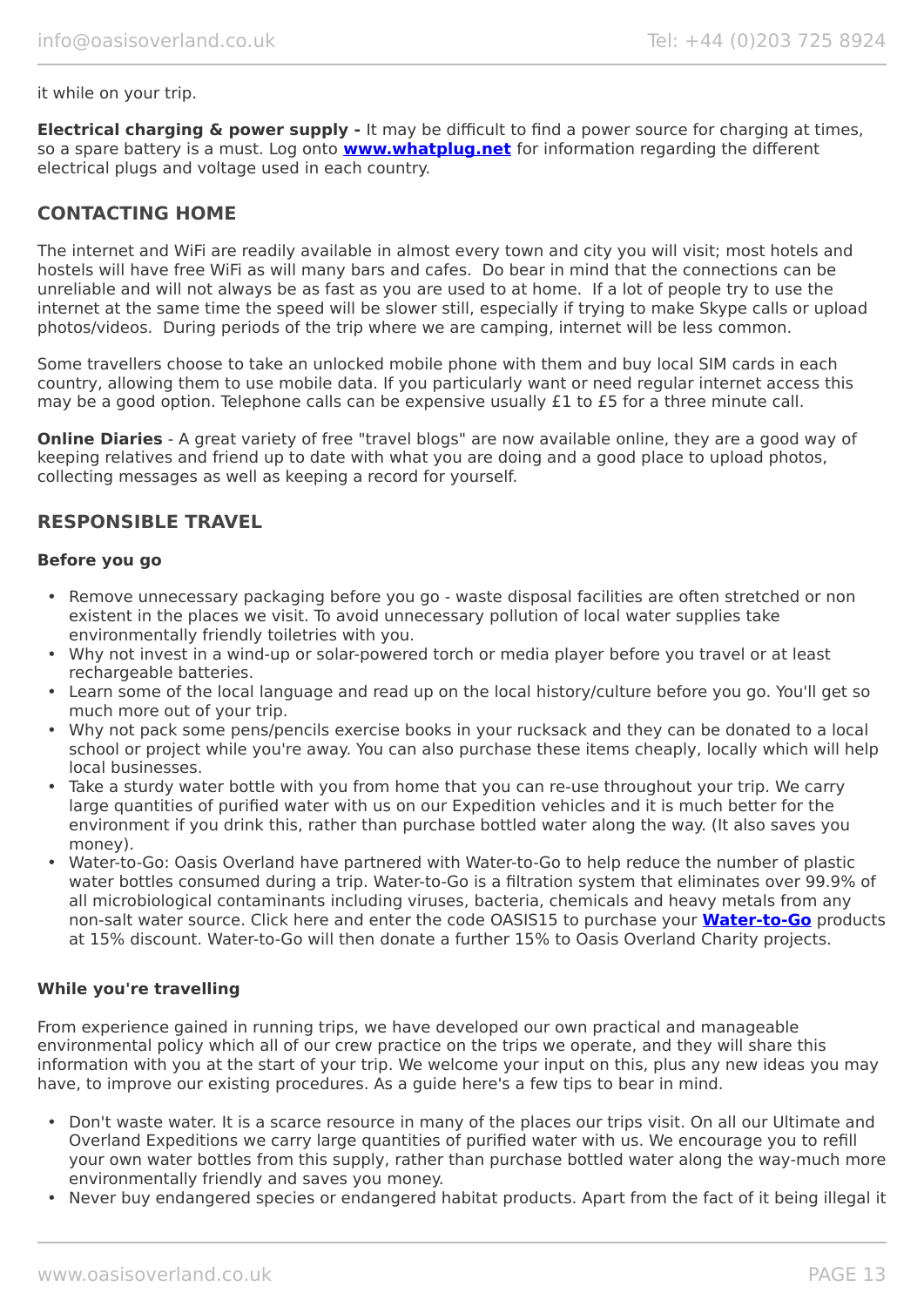#### it while on your trip.

**Electrical charging & power supply -** It may be difficult to find a power source for charging at times, so a spare battery is a must. Log onto **[www.whatplug.net](http://www.whatplug.net/)** for information regarding the different electrical plugs and voltage used in each country.

# **CONTACTING HOME**

The internet and WiFi are readily available in almost every town and city you will visit; most hotels and hostels will have free WiFi as will many bars and cafes. Do bear in mind that the connections can be unreliable and will not always be as fast as you are used to at home. If a lot of people try to use the internet at the same time the speed will be slower still, especially if trying to make Skype calls or upload photos/videos. During periods of the trip where we are camping, internet will be less common.

Some travellers choose to take an unlocked mobile phone with them and buy local SIM cards in each country, allowing them to use mobile data. If you particularly want or need regular internet access this may be a good option. Telephone calls can be expensive usually £1 to £5 for a three minute call.

**Online Diaries** - A great variety of free "travel blogs" are now available online, they are a good way of keeping relatives and friend up to date with what you are doing and a good place to upload photos, collecting messages as well as keeping a record for yourself.

# **RESPONSIBLE TRAVEL**

#### **Before you go**

- Remove unnecessary packaging before you go waste disposal facilities are often stretched or non existent in the places we visit. To avoid unnecessary pollution of local water supplies take environmentally friendly toiletries with you.
- Why not invest in a wind-up or solar-powered torch or media player before you travel or at least rechargeable batteries.
- Learn some of the local language and read up on the local history/culture before you go. You'll get so much more out of your trip.
- Why not pack some pens/pencils exercise books in your rucksack and they can be donated to a local school or project while you're away. You can also purchase these items cheaply, locally which will help local businesses.
- Take a sturdy water bottle with you from home that you can re-use throughout your trip. We carry large quantities of purified water with us on our Expedition vehicles and it is much better for the environment if you drink this, rather than purchase bottled water along the way. (It also saves you money).
- Water-to-Go: Oasis Overland have partnered with Water-to-Go to help reduce the number of plastic water bottles consumed during a trip. Water-to-Go is a filtration system that eliminates over 99.9% of all microbiological contaminants including viruses, bacteria, chemicals and heavy metals from any non-salt water source. Click here and enter the code OASIS15 to purchase your **[Water-to-Go](https://watertogo.eu/partnerships/oasisoverland/)** products at 15% discount. Water-to-Go will then donate a further 15% to Oasis Overland Charity projects.

#### **While you're travelling**

From experience gained in running trips, we have developed our own practical and manageable environmental policy which all of our crew practice on the trips we operate, and they will share this information with you at the start of your trip. We welcome your input on this, plus any new ideas you may have, to improve our existing procedures. As a guide here's a few tips to bear in mind.

- Don't waste water. It is a scarce resource in many of the places our trips visit. On all our Ultimate and Overland Expeditions we carry large quantities of purified water with us. We encourage you to refill your own water bottles from this supply, rather than purchase bottled water along the way-much more environmentally friendly and saves you money.
- Never buy endangered species or endangered habitat products. Apart from the fact of it being illegal it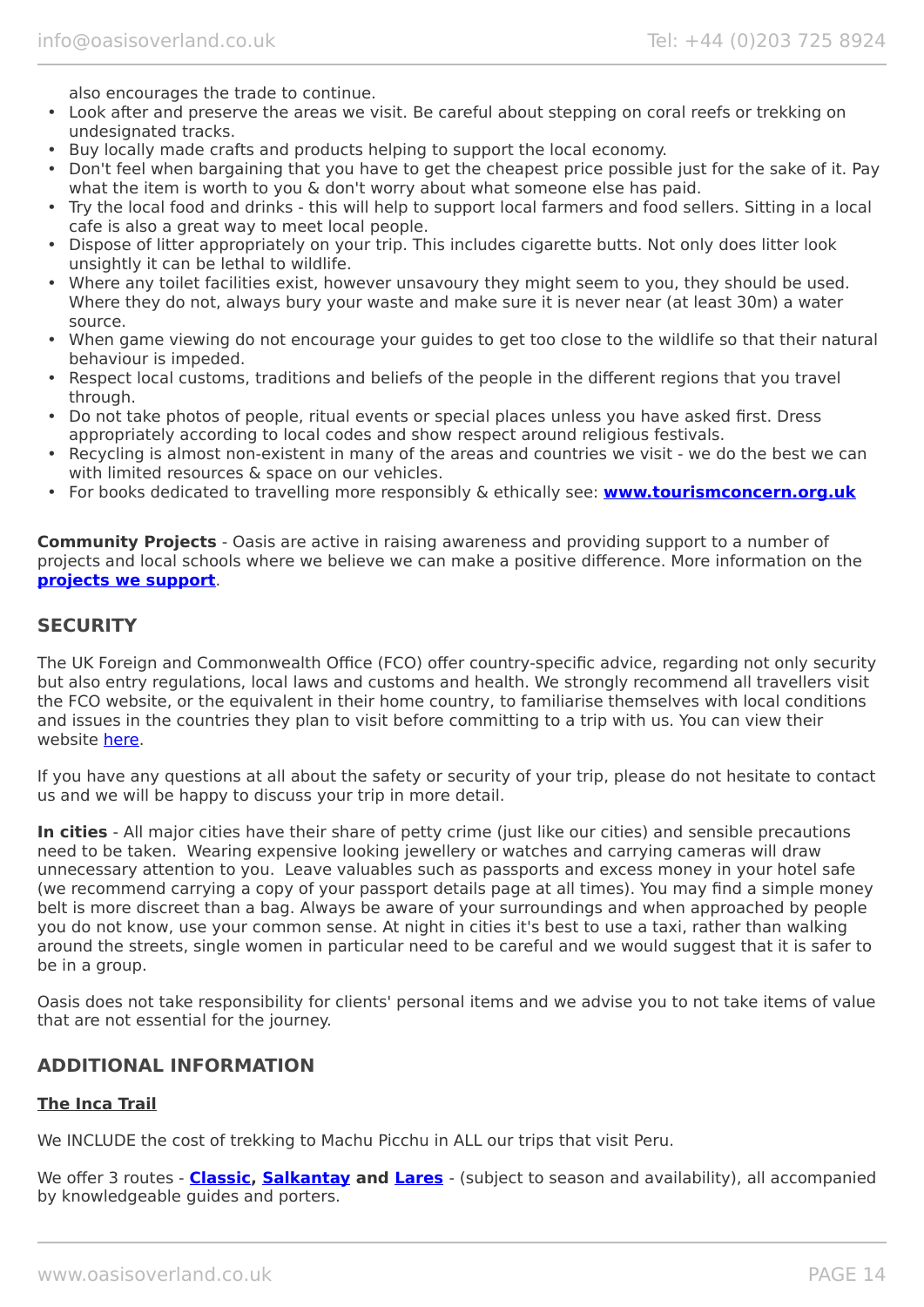also encourages the trade to continue.

- Look after and preserve the areas we visit. Be careful about stepping on coral reefs or trekking on undesignated tracks.
- Buy locally made crafts and products helping to support the local economy.
- Don't feel when bargaining that you have to get the cheapest price possible just for the sake of it. Pay what the item is worth to you & don't worry about what someone else has paid.
- Try the local food and drinks this will help to support local farmers and food sellers. Sitting in a local cafe is also a great way to meet local people.
- Dispose of litter appropriately on your trip. This includes cigarette butts. Not only does litter look unsightly it can be lethal to wildlife.
- Where any toilet facilities exist, however unsavoury they might seem to you, they should be used. Where they do not, always bury your waste and make sure it is never near (at least 30m) a water source.
- When game viewing do not encourage your guides to get too close to the wildlife so that their natural behaviour is impeded.
- Respect local customs, traditions and beliefs of the people in the different regions that you travel through.
- Do not take photos of people, ritual events or special places unless you have asked first. Dress appropriately according to local codes and show respect around religious festivals.
- Recycling is almost non-existent in many of the areas and countries we visit we do the best we can with limited resources & space on our vehicles.
- For books dedicated to travelling more responsibly & ethically see: **[www.tourismconcern.org.uk](https://www.tourismconcern.org.uk/)**

**Community Projects** - Oasis are active in raising awareness and providing support to a number of projects and local schools where we believe we can make a positive difference. More information on the **[projects we support](https://www.oasisoverland.co.uk/responsible-travel/charities-we-support)**.

### **SECURITY**

The UK Foreign and Commonwealth Office (FCO) offer country-specific advice, regarding not only security but also entry regulations, local laws and customs and health. We strongly recommend all travellers visit the FCO website, or the equivalent in their home country, to familiarise themselves with local conditions and issues in the countries they plan to visit before committing to a trip with us. You can view their website [here.](https://www.gov.uk/foreign-travel-advice)

If you have any questions at all about the safety or security of your trip, please do not hesitate to contact us and we will be happy to discuss your trip in more detail.

**In cities** - All major cities have their share of petty crime (just like our cities) and sensible precautions need to be taken. Wearing expensive looking jewellery or watches and carrying cameras will draw unnecessary attention to you. Leave valuables such as passports and excess money in your hotel safe (we recommend carrying a copy of your passport details page at all times). You may find a simple money belt is more discreet than a bag. Always be aware of your surroundings and when approached by people you do not know, use your common sense. At night in cities it's best to use a taxi, rather than walking around the streets, single women in particular need to be careful and we would suggest that it is safer to be in a group.

Oasis does not take responsibility for clients' personal items and we advise you to not take items of value that are not essential for the journey.

# **ADDITIONAL INFORMATION**

#### **The Inca Trail**

We INCLUDE the cost of trekking to Machu Picchu in ALL our trips that visit Peru.

We offer 3 routes - **[Classic,](https://www.oasisoverland.co.uk/classic-inca-trail-information) [Salkantay](https://www.oasisoverland.co.uk/salkantay-inca-trail-information) and [Lares](https://www.oasisoverland.co.uk/lares-inca-trail-information)** - (subject to season and availability), all accompanied by knowledgeable guides and porters.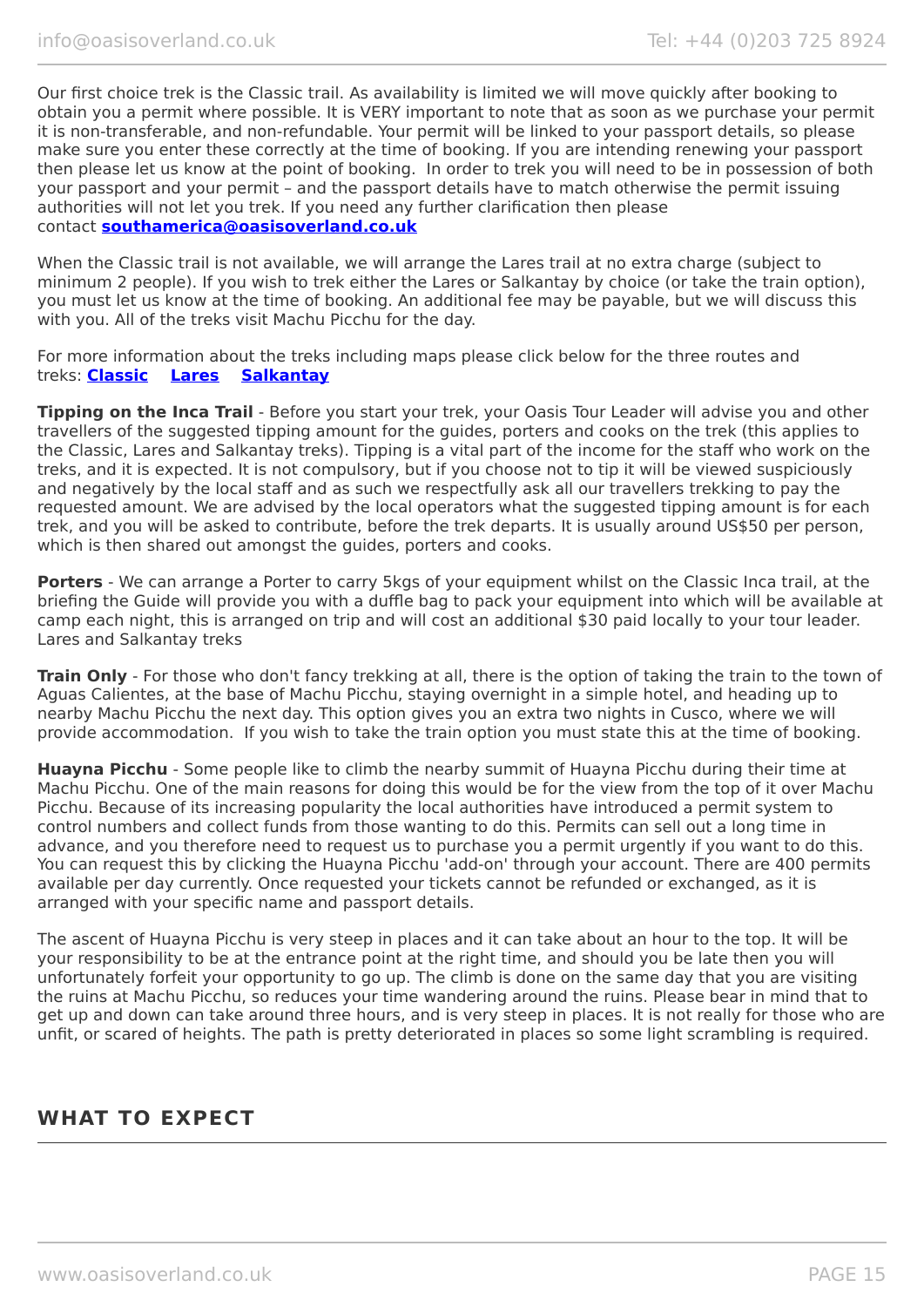Our first choice trek is the Classic trail. As availability is limited we will move quickly after booking to obtain you a permit where possible. It is VERY important to note that as soon as we purchase your permit it is non-transferable, and non-refundable. Your permit will be linked to your passport details, so please make sure you enter these correctly at the time of booking. If you are intending renewing your passport then please let us know at the point of booking. In order to trek you will need to be in possession of both your passport and your permit – and the passport details have to match otherwise the permit issuing authorities will not let you trek. If you need any further clarification then please contact **[southamerica@oasisoverland.co.uk](mailto:southamerica@oasisoverland.co.uk)**

When the Classic trail is not available, we will arrange the Lares trail at no extra charge (subject to minimum 2 people). If you wish to trek either the Lares or Salkantay by choice (or take the train option), you must let us know at the time of booking. An additional fee may be payable, but we will discuss this with you. All of the treks visit Machu Picchu for the day.

For more information about the treks including maps please click below for the three routes and treks: **[Classic](https://www.oasisoverland.co.uk/classic-inca-trail-information) [Lares](https://www.oasisoverland.co.uk/lares-inca-trail-information) [Salkantay](https://www.oasisoverland.co.uk/salkantay-inca-trail-information)**

**Tipping on the Inca Trail** - Before you start your trek, your Oasis Tour Leader will advise you and other travellers of the suggested tipping amount for the guides, porters and cooks on the trek (this applies to the Classic, Lares and Salkantay treks). Tipping is a vital part of the income for the staff who work on the treks, and it is expected. It is not compulsory, but if you choose not to tip it will be viewed suspiciously and negatively by the local staff and as such we respectfully ask all our travellers trekking to pay the requested amount. We are advised by the local operators what the suggested tipping amount is for each trek, and you will be asked to contribute, before the trek departs. It is usually around US\$50 per person, which is then shared out amongst the guides, porters and cooks.

**Porters** - We can arrange a Porter to carry 5kgs of your equipment whilst on the Classic Inca trail, at the briefing the Guide will provide you with a duffle bag to pack your equipment into which will be available at camp each night, this is arranged on trip and will cost an additional \$30 paid locally to your tour leader. Lares and Salkantay treks

**Train Only** - For those who don't fancy trekking at all, there is the option of taking the train to the town of Aguas Calientes, at the base of Machu Picchu, staying overnight in a simple hotel, and heading up to nearby Machu Picchu the next day. This option gives you an extra two nights in Cusco, where we will provide accommodation. If you wish to take the train option you must state this at the time of booking.

**Huayna Picchu** - Some people like to climb the nearby summit of Huayna Picchu during their time at Machu Picchu. One of the main reasons for doing this would be for the view from the top of it over Machu Picchu. Because of its increasing popularity the local authorities have introduced a permit system to control numbers and collect funds from those wanting to do this. Permits can sell out a long time in advance, and you therefore need to request us to purchase you a permit urgently if you want to do this. You can request this by clicking the Huayna Picchu 'add-on' through your account. There are 400 permits available per day currently. Once requested your tickets cannot be refunded or exchanged, as it is arranged with your specific name and passport details.

The ascent of Huayna Picchu is very steep in places and it can take about an hour to the top. It will be your responsibility to be at the entrance point at the right time, and should you be late then you will unfortunately forfeit your opportunity to go up. The climb is done on the same day that you are visiting the ruins at Machu Picchu, so reduces your time wandering around the ruins. Please bear in mind that to get up and down can take around three hours, and is very steep in places. It is not really for those who are unfit, or scared of heights. The path is pretty deteriorated in places so some light scrambling is required.

# **WHAT TO EXPECT**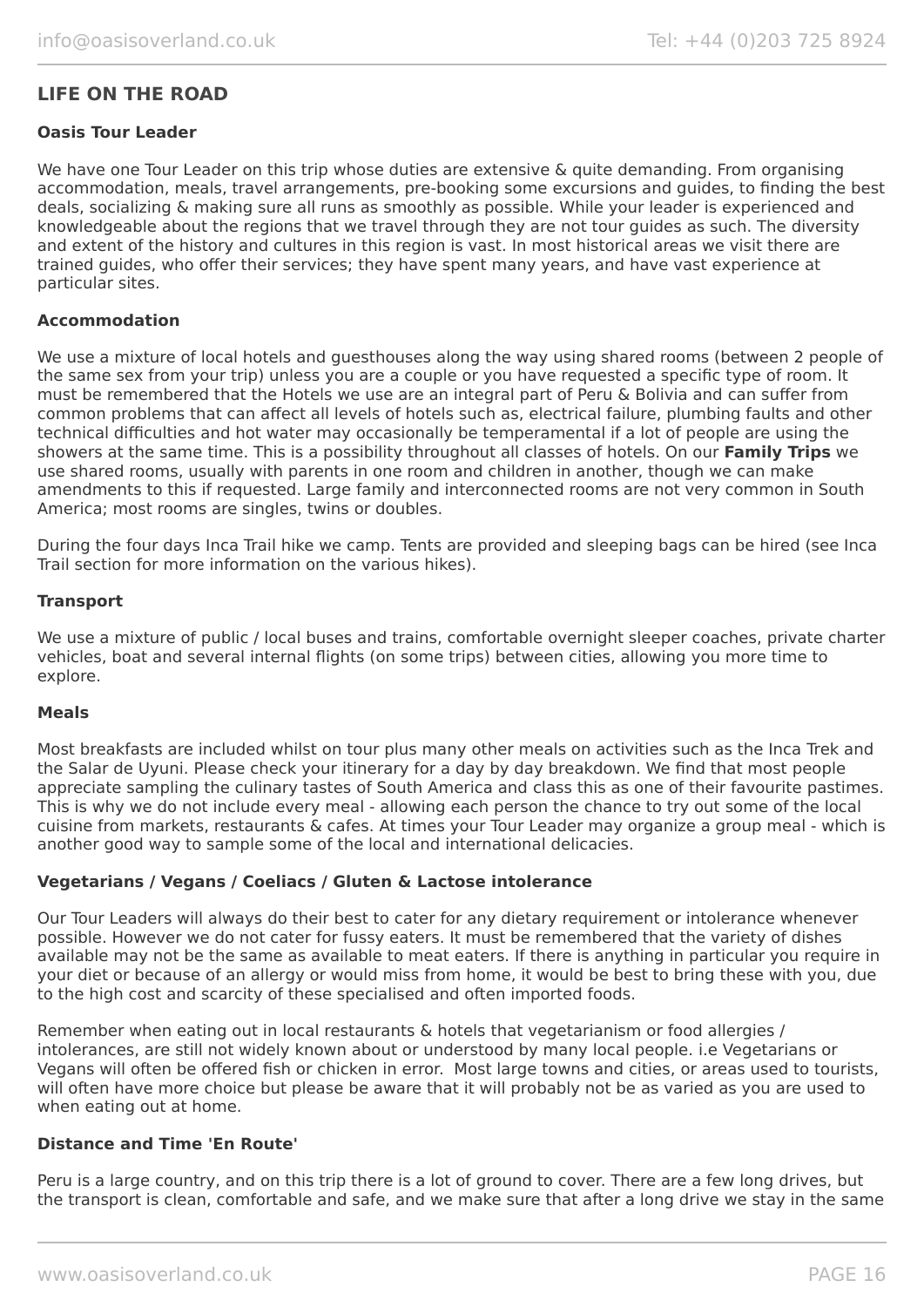# **LIFE ON THE ROAD**

#### **Oasis Tour Leader**

We have one Tour Leader on this trip whose duties are extensive & quite demanding. From organising accommodation, meals, travel arrangements, pre-booking some excursions and guides, to finding the best deals, socializing & making sure all runs as smoothly as possible. While your leader is experienced and knowledgeable about the regions that we travel through they are not tour guides as such. The diversity and extent of the history and cultures in this region is vast. In most historical areas we visit there are trained guides, who offer their services; they have spent many years, and have vast experience at particular sites.

#### **Accommodation**

We use a mixture of local hotels and guesthouses along the way using shared rooms (between 2 people of the same sex from your trip) unless you are a couple or you have requested a specific type of room. It must be remembered that the Hotels we use are an integral part of Peru & Bolivia and can suffer from common problems that can affect all levels of hotels such as, electrical failure, plumbing faults and other technical difficulties and hot water may occasionally be temperamental if a lot of people are using the showers at the same time. This is a possibility throughout all classes of hotels. On our **Family Trips** we use shared rooms, usually with parents in one room and children in another, though we can make amendments to this if requested. Large family and interconnected rooms are not very common in South America; most rooms are singles, twins or doubles.

During the four days Inca Trail hike we camp. Tents are provided and sleeping bags can be hired (see Inca Trail section for more information on the various hikes).

#### **Transport**

We use a mixture of public / local buses and trains, comfortable overnight sleeper coaches, private charter vehicles, boat and several internal flights (on some trips) between cities, allowing you more time to explore.

#### **Meals**

Most breakfasts are included whilst on tour plus many other meals on activities such as the Inca Trek and the Salar de Uyuni. Please check your itinerary for a day by day breakdown. We find that most people appreciate sampling the culinary tastes of South America and class this as one of their favourite pastimes. This is why we do not include every meal - allowing each person the chance to try out some of the local cuisine from markets, restaurants & cafes. At times your Tour Leader may organize a group meal - which is another good way to sample some of the local and international delicacies.

#### **Vegetarians / Vegans / Coeliacs / Gluten & Lactose intolerance**

Our Tour Leaders will always do their best to cater for any dietary requirement or intolerance whenever possible. However we do not cater for fussy eaters. It must be remembered that the variety of dishes available may not be the same as available to meat eaters. If there is anything in particular you require in your diet or because of an allergy or would miss from home, it would be best to bring these with you, due to the high cost and scarcity of these specialised and often imported foods.

Remember when eating out in local restaurants & hotels that vegetarianism or food allergies / intolerances, are still not widely known about or understood by many local people. i.e Vegetarians or Vegans will often be offered fish or chicken in error. Most large towns and cities, or areas used to tourists, will often have more choice but please be aware that it will probably not be as varied as you are used to when eating out at home.

#### **Distance and Time 'En Route'**

Peru is a large country, and on this trip there is a lot of ground to cover. There are a few long drives, but the transport is clean, comfortable and safe, and we make sure that after a long drive we stay in the same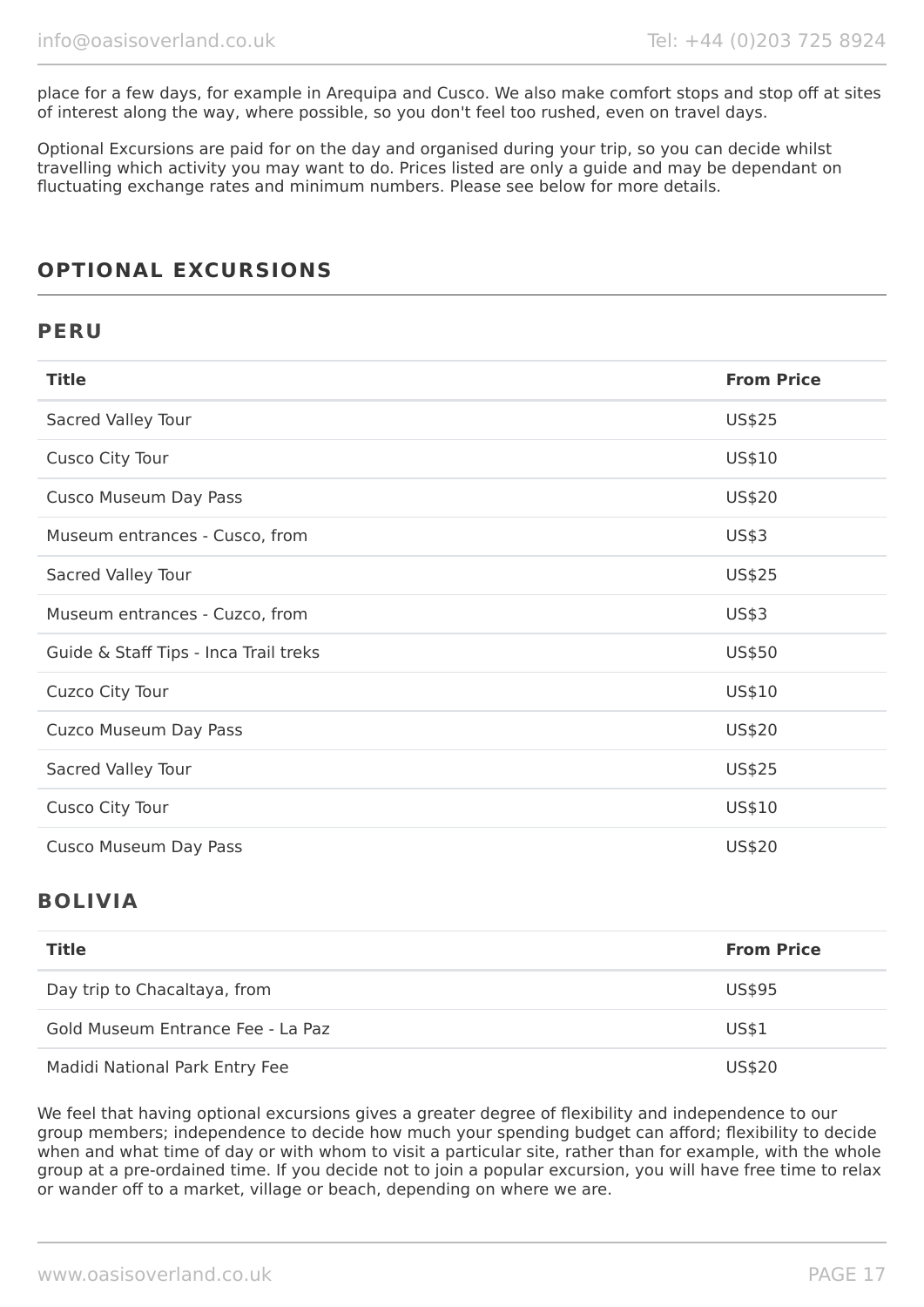place for a few days, for example in Arequipa and Cusco. We also make comfort stops and stop off at sites of interest along the way, where possible, so you don't feel too rushed, even on travel days.

Optional Excursions are paid for on the day and organised during your trip, so you can decide whilst travelling which activity you may want to do. Prices listed are only a guide and may be dependant on fluctuating exchange rates and minimum numbers. Please see below for more details.

# **OPTIONAL EXCURSIONS**

# **PERU**

| <b>Title</b>                          | <b>From Price</b> |
|---------------------------------------|-------------------|
| Sacred Valley Tour                    | US\$25            |
| Cusco City Tour                       | US\$10            |
| Cusco Museum Day Pass                 | US\$20            |
| Museum entrances - Cusco, from        | <b>US\$3</b>      |
| Sacred Valley Tour                    | US\$25            |
| Museum entrances - Cuzco, from        | <b>US\$3</b>      |
| Guide & Staff Tips - Inca Trail treks | US\$50            |
| Cuzco City Tour                       | US\$10            |
| Cuzco Museum Day Pass                 | US\$20            |
| Sacred Valley Tour                    | US\$25            |
| Cusco City Tour                       | US\$10            |
| Cusco Museum Day Pass                 | US\$20            |

# **BOLIVIA**

| <b>Title</b>                      | <b>From Price</b> |
|-----------------------------------|-------------------|
| Day trip to Chacaltaya, from      | <b>US\$95</b>     |
| Gold Museum Entrance Fee - La Paz | US\$1             |
| Madidi National Park Entry Fee    | <b>US\$20</b>     |

We feel that having optional excursions gives a greater degree of flexibility and independence to our group members; independence to decide how much your spending budget can afford; flexibility to decide when and what time of day or with whom to visit a particular site, rather than for example, with the whole group at a pre-ordained time. If you decide not to join a popular excursion, you will have free time to relax or wander off to a market, village or beach, depending on where we are.